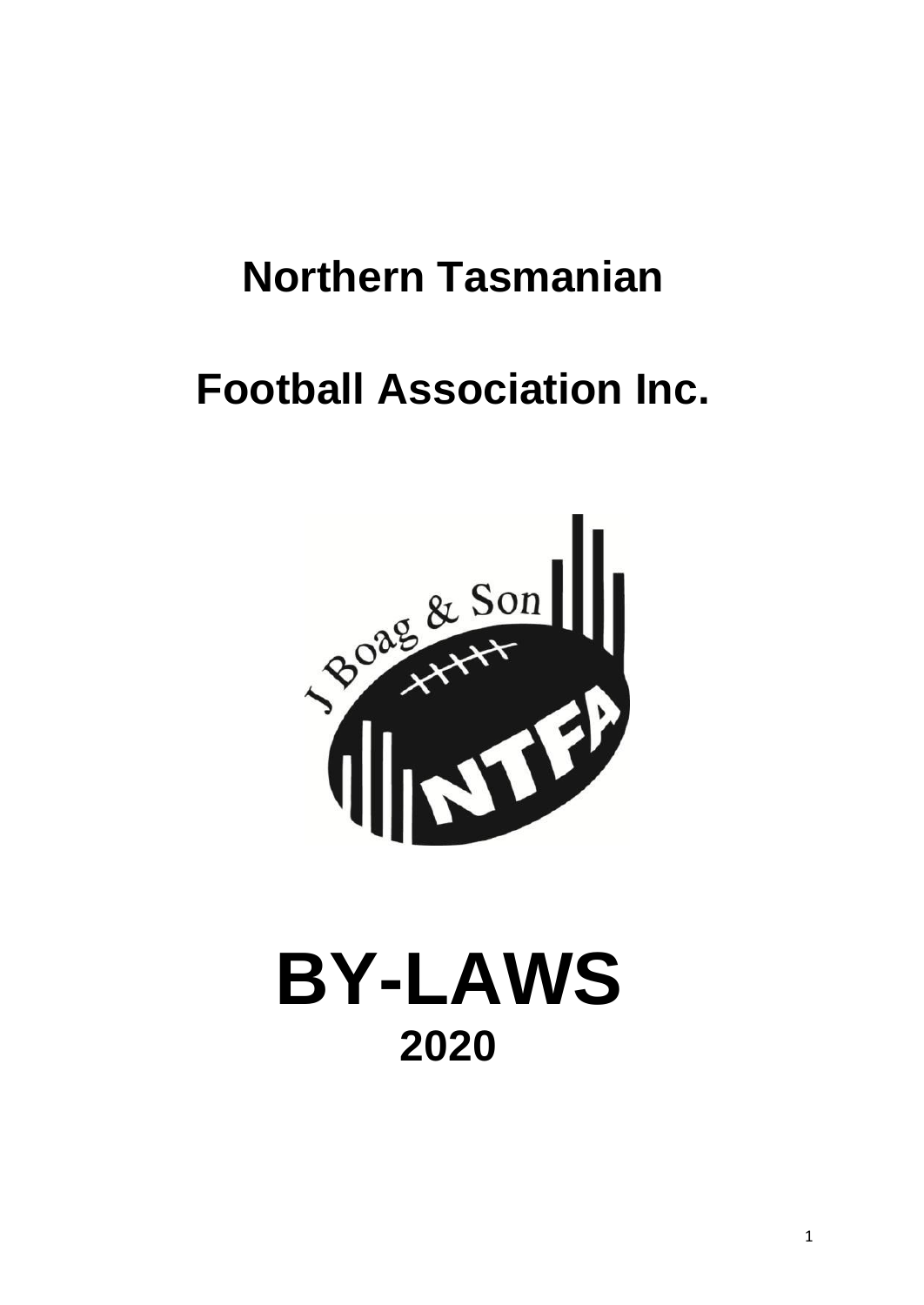# **Northern Tasmanian**

# **Football Association Inc.**



# **BY-LAWS 2020**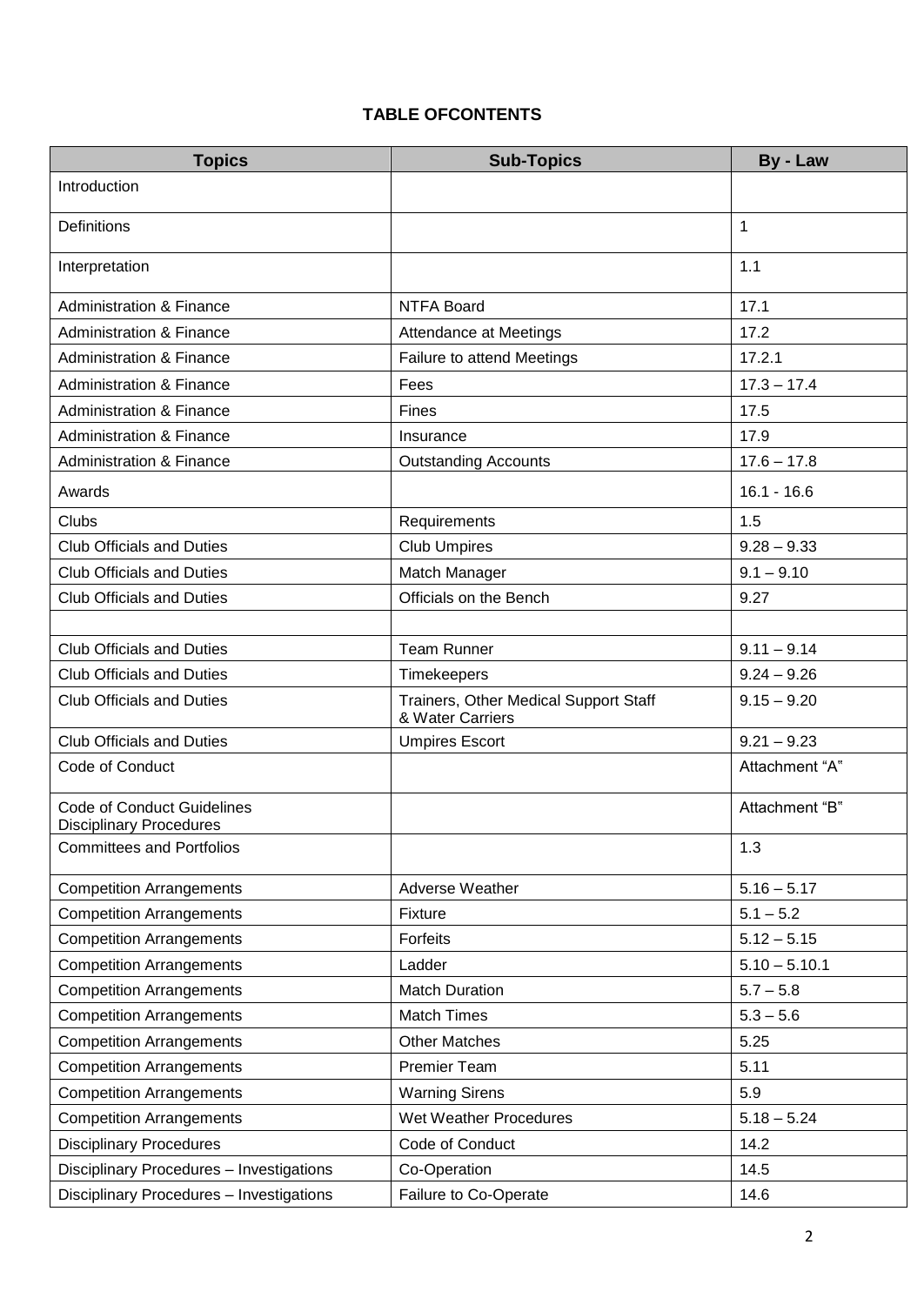# **TABLE OFCONTENTS**

| <b>Topics</b>                                                       | <b>Sub-Topics</b>                                         | By - Law        |
|---------------------------------------------------------------------|-----------------------------------------------------------|-----------------|
| Introduction                                                        |                                                           |                 |
| Definitions                                                         |                                                           | 1               |
| Interpretation                                                      |                                                           | 1.1             |
| <b>Administration &amp; Finance</b>                                 | <b>NTFA Board</b>                                         | 17.1            |
| <b>Administration &amp; Finance</b>                                 | Attendance at Meetings                                    | 17.2            |
| <b>Administration &amp; Finance</b>                                 | Failure to attend Meetings                                | 17.2.1          |
| <b>Administration &amp; Finance</b>                                 | Fees                                                      | $17.3 - 17.4$   |
| <b>Administration &amp; Finance</b>                                 | Fines                                                     | 17.5            |
| <b>Administration &amp; Finance</b>                                 | Insurance                                                 | 17.9            |
| <b>Administration &amp; Finance</b>                                 | <b>Outstanding Accounts</b>                               | $17.6 - 17.8$   |
| Awards                                                              |                                                           | $16.1 - 16.6$   |
| Clubs                                                               | Requirements                                              | 1.5             |
| <b>Club Officials and Duties</b>                                    | <b>Club Umpires</b>                                       | $9.28 - 9.33$   |
| <b>Club Officials and Duties</b>                                    | Match Manager                                             | $9.1 - 9.10$    |
| <b>Club Officials and Duties</b>                                    | Officials on the Bench                                    | 9.27            |
|                                                                     |                                                           |                 |
| <b>Club Officials and Duties</b>                                    | <b>Team Runner</b>                                        | $9.11 - 9.14$   |
| <b>Club Officials and Duties</b>                                    | Timekeepers                                               | $9.24 - 9.26$   |
| <b>Club Officials and Duties</b>                                    | Trainers, Other Medical Support Staff<br>& Water Carriers | $9.15 - 9.20$   |
| <b>Club Officials and Duties</b>                                    | <b>Umpires Escort</b>                                     | $9.21 - 9.23$   |
| Code of Conduct                                                     |                                                           | Attachment "A"  |
| <b>Code of Conduct Guidelines</b><br><b>Disciplinary Procedures</b> |                                                           | Attachment "B"  |
| <b>Committees and Portfolios</b>                                    |                                                           | 1.3             |
| <b>Competition Arrangements</b>                                     | Adverse Weather                                           | $5.16 - 5.17$   |
| <b>Competition Arrangements</b>                                     | Fixture                                                   | $5.1 - 5.2$     |
| <b>Competition Arrangements</b>                                     | Forfeits                                                  | $5.12 - 5.15$   |
| <b>Competition Arrangements</b>                                     | Ladder                                                    | $5.10 - 5.10.1$ |
| <b>Competition Arrangements</b>                                     | <b>Match Duration</b>                                     | $5.7 - 5.8$     |
| <b>Competition Arrangements</b>                                     | <b>Match Times</b>                                        | $5.3 - 5.6$     |
| <b>Competition Arrangements</b>                                     | <b>Other Matches</b>                                      | 5.25            |
| <b>Competition Arrangements</b>                                     | <b>Premier Team</b>                                       | 5.11            |
| <b>Competition Arrangements</b>                                     | <b>Warning Sirens</b>                                     | 5.9             |
| <b>Competition Arrangements</b>                                     | Wet Weather Procedures                                    | $5.18 - 5.24$   |
| <b>Disciplinary Procedures</b>                                      | Code of Conduct                                           | 14.2            |
| Disciplinary Procedures - Investigations                            | Co-Operation                                              | 14.5            |
| Disciplinary Procedures - Investigations                            | Failure to Co-Operate                                     | 14.6            |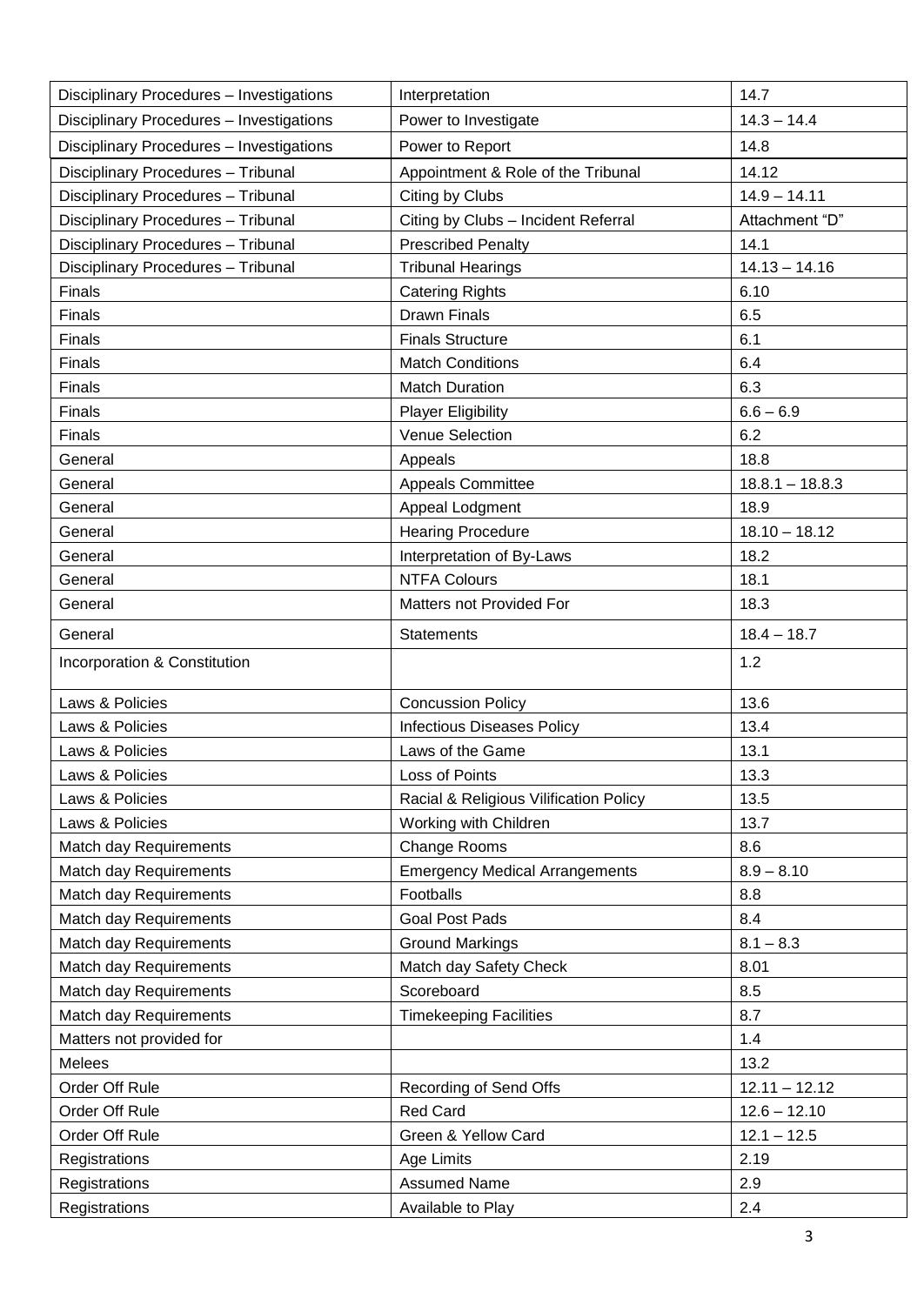| Disciplinary Procedures - Investigations           | Interpretation                                   | 14.7              |
|----------------------------------------------------|--------------------------------------------------|-------------------|
| Disciplinary Procedures - Investigations           | Power to Investigate                             | $14.3 - 14.4$     |
| Disciplinary Procedures - Investigations           | Power to Report                                  | 14.8              |
| Disciplinary Procedures - Tribunal                 | Appointment & Role of the Tribunal               | 14.12             |
| Disciplinary Procedures - Tribunal                 | Citing by Clubs                                  | $14.9 - 14.11$    |
| Disciplinary Procedures - Tribunal                 | Citing by Clubs - Incident Referral              | Attachment "D"    |
| Disciplinary Procedures - Tribunal                 | <b>Prescribed Penalty</b>                        | 14.1              |
| Disciplinary Procedures - Tribunal                 | <b>Tribunal Hearings</b>                         | $14.13 - 14.16$   |
| Finals                                             | <b>Catering Rights</b>                           | 6.10              |
| Finals                                             | <b>Drawn Finals</b>                              | 6.5               |
| Finals                                             | <b>Finals Structure</b>                          | 6.1               |
| Finals                                             | <b>Match Conditions</b>                          | 6.4               |
| Finals                                             | <b>Match Duration</b>                            | 6.3               |
| Finals                                             | <b>Player Eligibility</b>                        | $6.6 - 6.9$       |
| Finals                                             | Venue Selection                                  | 6.2               |
| General                                            | Appeals                                          | 18.8              |
| General                                            | <b>Appeals Committee</b>                         | $18.8.1 - 18.8.3$ |
| General                                            | Appeal Lodgment                                  | 18.9              |
| General                                            | <b>Hearing Procedure</b>                         | $18.10 - 18.12$   |
| General                                            | Interpretation of By-Laws                        | 18.2              |
| General                                            | <b>NTFA Colours</b>                              | 18.1              |
| General                                            | Matters not Provided For                         | 18.3              |
| General                                            | <b>Statements</b>                                | $18.4 - 18.7$     |
|                                                    |                                                  |                   |
| Incorporation & Constitution                       |                                                  | 1.2               |
| Laws & Policies                                    | <b>Concussion Policy</b>                         | 13.6              |
| Laws & Policies                                    | <b>Infectious Diseases Policy</b>                | 13.4              |
| Laws & Policies                                    | Laws of the Game                                 | 13.1              |
| Laws & Policies                                    | Loss of Points                                   | 13.3              |
| Laws & Policies                                    | Racial & Religious Vilification Policy           | 13.5              |
| Laws & Policies                                    | Working with Children                            | 13.7              |
| Match day Requirements                             | Change Rooms                                     | 8.6               |
| Match day Requirements                             | <b>Emergency Medical Arrangements</b>            | $8.9 - 8.10$      |
| Match day Requirements                             | Footballs                                        | 8.8               |
| <b>Match day Requirements</b>                      | <b>Goal Post Pads</b>                            | 8.4               |
| Match day Requirements                             |                                                  | $8.1 - 8.3$       |
| Match day Requirements                             | <b>Ground Markings</b><br>Match day Safety Check | 8.01              |
| Match day Requirements                             | Scoreboard                                       | 8.5               |
|                                                    |                                                  | 8.7               |
| Match day Requirements<br>Matters not provided for | <b>Timekeeping Facilities</b>                    | 1.4               |
| Melees                                             |                                                  | 13.2              |
| Order Off Rule                                     | Recording of Send Offs                           | $12.11 - 12.12$   |
| Order Off Rule                                     | <b>Red Card</b>                                  | $12.6 - 12.10$    |
| Order Off Rule                                     | Green & Yellow Card                              | $12.1 - 12.5$     |
|                                                    |                                                  | 2.19              |
| Registrations                                      | Age Limits<br><b>Assumed Name</b>                | 2.9               |
| Registrations<br>Registrations                     | Available to Play                                | 2.4               |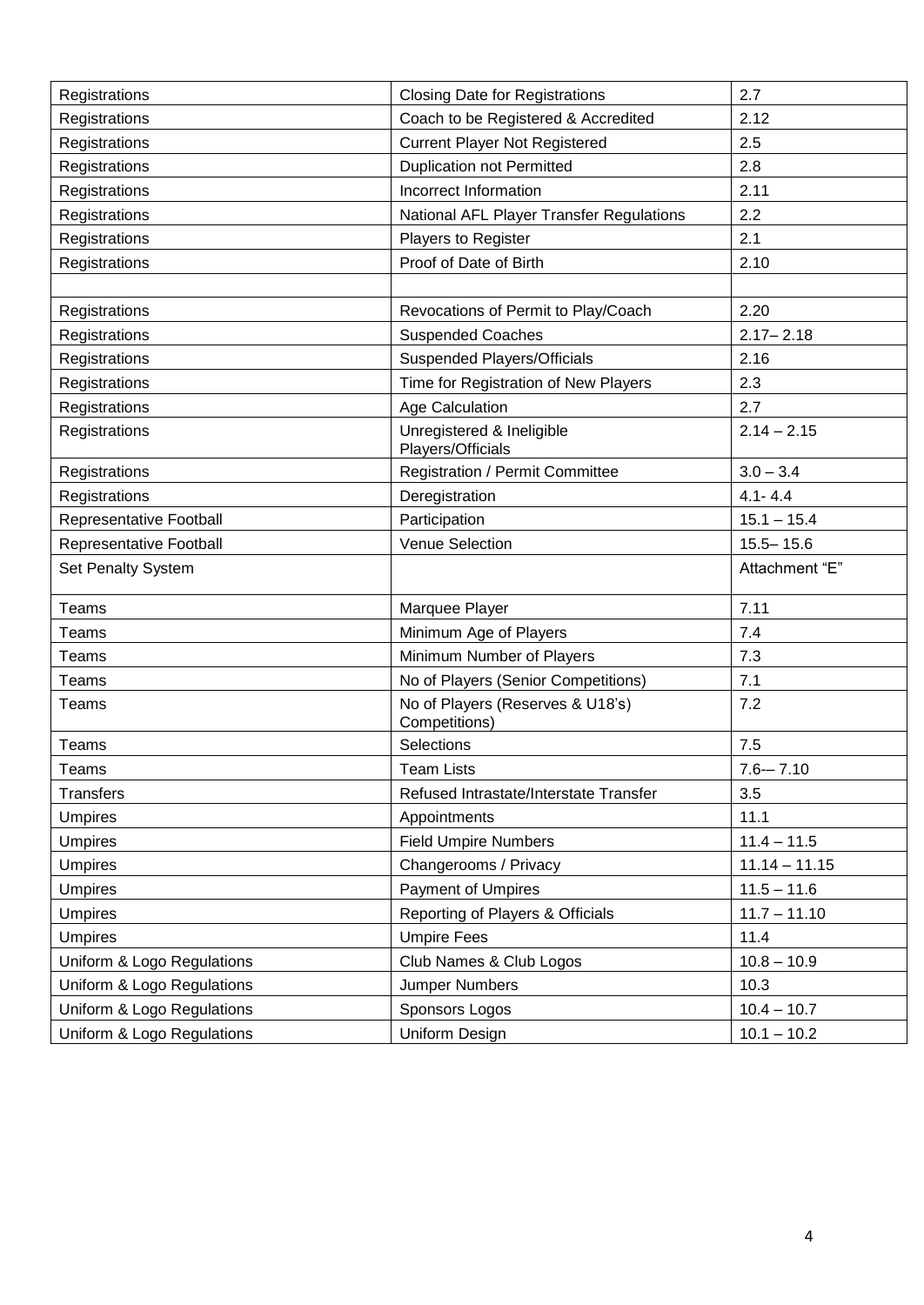| 2.7<br>Registrations<br><b>Closing Date for Registrations</b><br>Coach to be Registered & Accredited<br>2.12<br>Registrations<br><b>Current Player Not Registered</b><br>Registrations<br>2.5<br><b>Duplication not Permitted</b><br>Registrations<br>2.8<br>2.11<br>Incorrect Information<br>Registrations<br>Registrations<br>National AFL Player Transfer Regulations<br>2.2<br>2.1<br>Registrations<br>Players to Register<br>2.10<br>Proof of Date of Birth<br>Registrations<br>2.20<br>Revocations of Permit to Play/Coach<br>Registrations<br><b>Suspended Coaches</b><br>$2.17 - 2.18$<br>Registrations<br>Registrations<br><b>Suspended Players/Officials</b><br>2.16<br>2.3<br>Time for Registration of New Players<br>Registrations<br>Registrations<br>Age Calculation<br>2.7<br>Unregistered & Ineligible<br>$2.14 - 2.15$<br>Registrations<br>Players/Officials<br>Registration / Permit Committee<br>$3.0 - 3.4$<br>Registrations<br>$4.1 - 4.4$<br>Deregistration<br>Registrations<br>Participation<br>Representative Football<br>$15.1 - 15.4$<br>Venue Selection<br>$15.5 - 15.6$<br>Representative Football<br>Set Penalty System<br>Attachment "E"<br>7.11<br>Teams<br>Marquee Player<br>Minimum Age of Players<br>7.4<br>Teams<br>Minimum Number of Players<br>7.3<br>Teams<br>No of Players (Senior Competitions)<br>7.1<br>Teams<br>No of Players (Reserves & U18's)<br>7.2<br>Teams<br>Competitions)<br>Selections<br>7.5<br>Teams<br>Teams<br><b>Team Lists</b><br>$7.6 - 7.10$<br><b>Transfers</b><br>Refused Intrastate/Interstate Transfer<br>3.5<br>11.1<br><b>Umpires</b><br>Appointments<br>$11.4 - 11.5$<br><b>Umpires</b><br><b>Field Umpire Numbers</b><br><b>Umpires</b><br>Changerooms / Privacy<br>$11.14 - 11.15$<br><b>Payment of Umpires</b><br>$11.5 - 11.6$<br><b>Umpires</b><br>$11.7 - 11.10$<br>Reporting of Players & Officials<br><b>Umpires</b><br><b>Umpire Fees</b><br>11.4<br><b>Umpires</b><br>$10.8 - 10.9$<br>Uniform & Logo Regulations<br>Club Names & Club Logos<br>Uniform & Logo Regulations<br>Jumper Numbers<br>10.3<br>Uniform & Logo Regulations<br>$10.4 - 10.7$<br>Sponsors Logos |                            |                |               |
|----------------------------------------------------------------------------------------------------------------------------------------------------------------------------------------------------------------------------------------------------------------------------------------------------------------------------------------------------------------------------------------------------------------------------------------------------------------------------------------------------------------------------------------------------------------------------------------------------------------------------------------------------------------------------------------------------------------------------------------------------------------------------------------------------------------------------------------------------------------------------------------------------------------------------------------------------------------------------------------------------------------------------------------------------------------------------------------------------------------------------------------------------------------------------------------------------------------------------------------------------------------------------------------------------------------------------------------------------------------------------------------------------------------------------------------------------------------------------------------------------------------------------------------------------------------------------------------------------------------------------------------------------------------------------------------------------------------------------------------------------------------------------------------------------------------------------------------------------------------------------------------------------------------------------------------------------------------------------------------------------------------------------------------------------------------------------------------------------------------------------------------------------|----------------------------|----------------|---------------|
|                                                                                                                                                                                                                                                                                                                                                                                                                                                                                                                                                                                                                                                                                                                                                                                                                                                                                                                                                                                                                                                                                                                                                                                                                                                                                                                                                                                                                                                                                                                                                                                                                                                                                                                                                                                                                                                                                                                                                                                                                                                                                                                                                    |                            |                |               |
|                                                                                                                                                                                                                                                                                                                                                                                                                                                                                                                                                                                                                                                                                                                                                                                                                                                                                                                                                                                                                                                                                                                                                                                                                                                                                                                                                                                                                                                                                                                                                                                                                                                                                                                                                                                                                                                                                                                                                                                                                                                                                                                                                    |                            |                |               |
|                                                                                                                                                                                                                                                                                                                                                                                                                                                                                                                                                                                                                                                                                                                                                                                                                                                                                                                                                                                                                                                                                                                                                                                                                                                                                                                                                                                                                                                                                                                                                                                                                                                                                                                                                                                                                                                                                                                                                                                                                                                                                                                                                    |                            |                |               |
|                                                                                                                                                                                                                                                                                                                                                                                                                                                                                                                                                                                                                                                                                                                                                                                                                                                                                                                                                                                                                                                                                                                                                                                                                                                                                                                                                                                                                                                                                                                                                                                                                                                                                                                                                                                                                                                                                                                                                                                                                                                                                                                                                    |                            |                |               |
|                                                                                                                                                                                                                                                                                                                                                                                                                                                                                                                                                                                                                                                                                                                                                                                                                                                                                                                                                                                                                                                                                                                                                                                                                                                                                                                                                                                                                                                                                                                                                                                                                                                                                                                                                                                                                                                                                                                                                                                                                                                                                                                                                    |                            |                |               |
|                                                                                                                                                                                                                                                                                                                                                                                                                                                                                                                                                                                                                                                                                                                                                                                                                                                                                                                                                                                                                                                                                                                                                                                                                                                                                                                                                                                                                                                                                                                                                                                                                                                                                                                                                                                                                                                                                                                                                                                                                                                                                                                                                    |                            |                |               |
|                                                                                                                                                                                                                                                                                                                                                                                                                                                                                                                                                                                                                                                                                                                                                                                                                                                                                                                                                                                                                                                                                                                                                                                                                                                                                                                                                                                                                                                                                                                                                                                                                                                                                                                                                                                                                                                                                                                                                                                                                                                                                                                                                    |                            |                |               |
|                                                                                                                                                                                                                                                                                                                                                                                                                                                                                                                                                                                                                                                                                                                                                                                                                                                                                                                                                                                                                                                                                                                                                                                                                                                                                                                                                                                                                                                                                                                                                                                                                                                                                                                                                                                                                                                                                                                                                                                                                                                                                                                                                    |                            |                |               |
|                                                                                                                                                                                                                                                                                                                                                                                                                                                                                                                                                                                                                                                                                                                                                                                                                                                                                                                                                                                                                                                                                                                                                                                                                                                                                                                                                                                                                                                                                                                                                                                                                                                                                                                                                                                                                                                                                                                                                                                                                                                                                                                                                    |                            |                |               |
|                                                                                                                                                                                                                                                                                                                                                                                                                                                                                                                                                                                                                                                                                                                                                                                                                                                                                                                                                                                                                                                                                                                                                                                                                                                                                                                                                                                                                                                                                                                                                                                                                                                                                                                                                                                                                                                                                                                                                                                                                                                                                                                                                    |                            |                |               |
|                                                                                                                                                                                                                                                                                                                                                                                                                                                                                                                                                                                                                                                                                                                                                                                                                                                                                                                                                                                                                                                                                                                                                                                                                                                                                                                                                                                                                                                                                                                                                                                                                                                                                                                                                                                                                                                                                                                                                                                                                                                                                                                                                    |                            |                |               |
|                                                                                                                                                                                                                                                                                                                                                                                                                                                                                                                                                                                                                                                                                                                                                                                                                                                                                                                                                                                                                                                                                                                                                                                                                                                                                                                                                                                                                                                                                                                                                                                                                                                                                                                                                                                                                                                                                                                                                                                                                                                                                                                                                    |                            |                |               |
|                                                                                                                                                                                                                                                                                                                                                                                                                                                                                                                                                                                                                                                                                                                                                                                                                                                                                                                                                                                                                                                                                                                                                                                                                                                                                                                                                                                                                                                                                                                                                                                                                                                                                                                                                                                                                                                                                                                                                                                                                                                                                                                                                    |                            |                |               |
|                                                                                                                                                                                                                                                                                                                                                                                                                                                                                                                                                                                                                                                                                                                                                                                                                                                                                                                                                                                                                                                                                                                                                                                                                                                                                                                                                                                                                                                                                                                                                                                                                                                                                                                                                                                                                                                                                                                                                                                                                                                                                                                                                    |                            |                |               |
|                                                                                                                                                                                                                                                                                                                                                                                                                                                                                                                                                                                                                                                                                                                                                                                                                                                                                                                                                                                                                                                                                                                                                                                                                                                                                                                                                                                                                                                                                                                                                                                                                                                                                                                                                                                                                                                                                                                                                                                                                                                                                                                                                    |                            |                |               |
|                                                                                                                                                                                                                                                                                                                                                                                                                                                                                                                                                                                                                                                                                                                                                                                                                                                                                                                                                                                                                                                                                                                                                                                                                                                                                                                                                                                                                                                                                                                                                                                                                                                                                                                                                                                                                                                                                                                                                                                                                                                                                                                                                    |                            |                |               |
|                                                                                                                                                                                                                                                                                                                                                                                                                                                                                                                                                                                                                                                                                                                                                                                                                                                                                                                                                                                                                                                                                                                                                                                                                                                                                                                                                                                                                                                                                                                                                                                                                                                                                                                                                                                                                                                                                                                                                                                                                                                                                                                                                    |                            |                |               |
|                                                                                                                                                                                                                                                                                                                                                                                                                                                                                                                                                                                                                                                                                                                                                                                                                                                                                                                                                                                                                                                                                                                                                                                                                                                                                                                                                                                                                                                                                                                                                                                                                                                                                                                                                                                                                                                                                                                                                                                                                                                                                                                                                    |                            |                |               |
|                                                                                                                                                                                                                                                                                                                                                                                                                                                                                                                                                                                                                                                                                                                                                                                                                                                                                                                                                                                                                                                                                                                                                                                                                                                                                                                                                                                                                                                                                                                                                                                                                                                                                                                                                                                                                                                                                                                                                                                                                                                                                                                                                    |                            |                |               |
|                                                                                                                                                                                                                                                                                                                                                                                                                                                                                                                                                                                                                                                                                                                                                                                                                                                                                                                                                                                                                                                                                                                                                                                                                                                                                                                                                                                                                                                                                                                                                                                                                                                                                                                                                                                                                                                                                                                                                                                                                                                                                                                                                    |                            |                |               |
|                                                                                                                                                                                                                                                                                                                                                                                                                                                                                                                                                                                                                                                                                                                                                                                                                                                                                                                                                                                                                                                                                                                                                                                                                                                                                                                                                                                                                                                                                                                                                                                                                                                                                                                                                                                                                                                                                                                                                                                                                                                                                                                                                    |                            |                |               |
|                                                                                                                                                                                                                                                                                                                                                                                                                                                                                                                                                                                                                                                                                                                                                                                                                                                                                                                                                                                                                                                                                                                                                                                                                                                                                                                                                                                                                                                                                                                                                                                                                                                                                                                                                                                                                                                                                                                                                                                                                                                                                                                                                    |                            |                |               |
|                                                                                                                                                                                                                                                                                                                                                                                                                                                                                                                                                                                                                                                                                                                                                                                                                                                                                                                                                                                                                                                                                                                                                                                                                                                                                                                                                                                                                                                                                                                                                                                                                                                                                                                                                                                                                                                                                                                                                                                                                                                                                                                                                    |                            |                |               |
|                                                                                                                                                                                                                                                                                                                                                                                                                                                                                                                                                                                                                                                                                                                                                                                                                                                                                                                                                                                                                                                                                                                                                                                                                                                                                                                                                                                                                                                                                                                                                                                                                                                                                                                                                                                                                                                                                                                                                                                                                                                                                                                                                    |                            |                |               |
|                                                                                                                                                                                                                                                                                                                                                                                                                                                                                                                                                                                                                                                                                                                                                                                                                                                                                                                                                                                                                                                                                                                                                                                                                                                                                                                                                                                                                                                                                                                                                                                                                                                                                                                                                                                                                                                                                                                                                                                                                                                                                                                                                    |                            |                |               |
|                                                                                                                                                                                                                                                                                                                                                                                                                                                                                                                                                                                                                                                                                                                                                                                                                                                                                                                                                                                                                                                                                                                                                                                                                                                                                                                                                                                                                                                                                                                                                                                                                                                                                                                                                                                                                                                                                                                                                                                                                                                                                                                                                    |                            |                |               |
|                                                                                                                                                                                                                                                                                                                                                                                                                                                                                                                                                                                                                                                                                                                                                                                                                                                                                                                                                                                                                                                                                                                                                                                                                                                                                                                                                                                                                                                                                                                                                                                                                                                                                                                                                                                                                                                                                                                                                                                                                                                                                                                                                    |                            |                |               |
|                                                                                                                                                                                                                                                                                                                                                                                                                                                                                                                                                                                                                                                                                                                                                                                                                                                                                                                                                                                                                                                                                                                                                                                                                                                                                                                                                                                                                                                                                                                                                                                                                                                                                                                                                                                                                                                                                                                                                                                                                                                                                                                                                    |                            |                |               |
|                                                                                                                                                                                                                                                                                                                                                                                                                                                                                                                                                                                                                                                                                                                                                                                                                                                                                                                                                                                                                                                                                                                                                                                                                                                                                                                                                                                                                                                                                                                                                                                                                                                                                                                                                                                                                                                                                                                                                                                                                                                                                                                                                    |                            |                |               |
|                                                                                                                                                                                                                                                                                                                                                                                                                                                                                                                                                                                                                                                                                                                                                                                                                                                                                                                                                                                                                                                                                                                                                                                                                                                                                                                                                                                                                                                                                                                                                                                                                                                                                                                                                                                                                                                                                                                                                                                                                                                                                                                                                    |                            |                |               |
|                                                                                                                                                                                                                                                                                                                                                                                                                                                                                                                                                                                                                                                                                                                                                                                                                                                                                                                                                                                                                                                                                                                                                                                                                                                                                                                                                                                                                                                                                                                                                                                                                                                                                                                                                                                                                                                                                                                                                                                                                                                                                                                                                    |                            |                |               |
|                                                                                                                                                                                                                                                                                                                                                                                                                                                                                                                                                                                                                                                                                                                                                                                                                                                                                                                                                                                                                                                                                                                                                                                                                                                                                                                                                                                                                                                                                                                                                                                                                                                                                                                                                                                                                                                                                                                                                                                                                                                                                                                                                    |                            |                |               |
|                                                                                                                                                                                                                                                                                                                                                                                                                                                                                                                                                                                                                                                                                                                                                                                                                                                                                                                                                                                                                                                                                                                                                                                                                                                                                                                                                                                                                                                                                                                                                                                                                                                                                                                                                                                                                                                                                                                                                                                                                                                                                                                                                    |                            |                |               |
|                                                                                                                                                                                                                                                                                                                                                                                                                                                                                                                                                                                                                                                                                                                                                                                                                                                                                                                                                                                                                                                                                                                                                                                                                                                                                                                                                                                                                                                                                                                                                                                                                                                                                                                                                                                                                                                                                                                                                                                                                                                                                                                                                    |                            |                |               |
|                                                                                                                                                                                                                                                                                                                                                                                                                                                                                                                                                                                                                                                                                                                                                                                                                                                                                                                                                                                                                                                                                                                                                                                                                                                                                                                                                                                                                                                                                                                                                                                                                                                                                                                                                                                                                                                                                                                                                                                                                                                                                                                                                    |                            |                |               |
|                                                                                                                                                                                                                                                                                                                                                                                                                                                                                                                                                                                                                                                                                                                                                                                                                                                                                                                                                                                                                                                                                                                                                                                                                                                                                                                                                                                                                                                                                                                                                                                                                                                                                                                                                                                                                                                                                                                                                                                                                                                                                                                                                    |                            |                |               |
|                                                                                                                                                                                                                                                                                                                                                                                                                                                                                                                                                                                                                                                                                                                                                                                                                                                                                                                                                                                                                                                                                                                                                                                                                                                                                                                                                                                                                                                                                                                                                                                                                                                                                                                                                                                                                                                                                                                                                                                                                                                                                                                                                    |                            |                |               |
|                                                                                                                                                                                                                                                                                                                                                                                                                                                                                                                                                                                                                                                                                                                                                                                                                                                                                                                                                                                                                                                                                                                                                                                                                                                                                                                                                                                                                                                                                                                                                                                                                                                                                                                                                                                                                                                                                                                                                                                                                                                                                                                                                    | Uniform & Logo Regulations | Uniform Design | $10.1 - 10.2$ |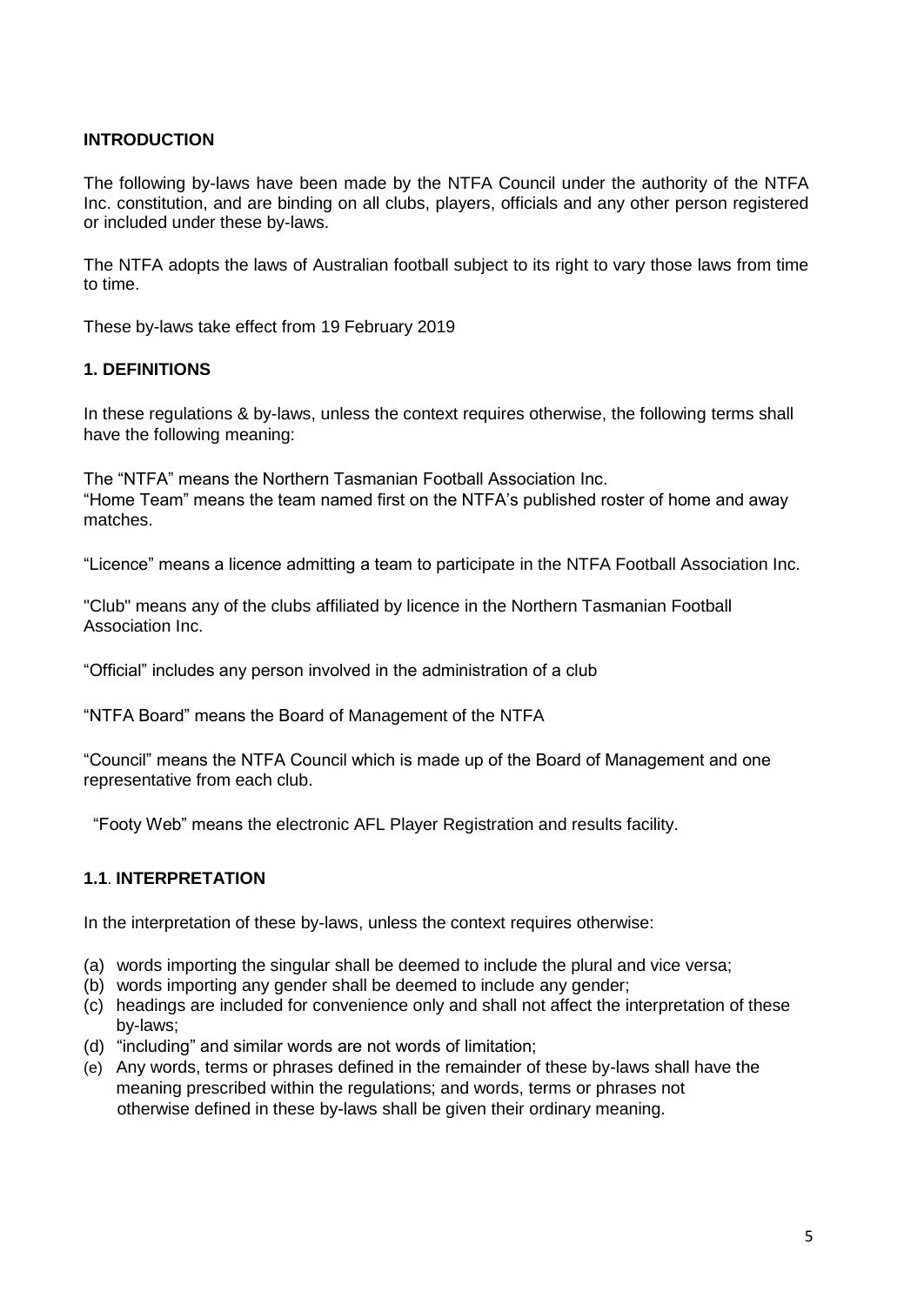# **INTRODUCTION**

The following by-laws have been made by the NTFA Council under the authority of the NTFA Inc. constitution, and are binding on all clubs, players, officials and any other person registered or included under these by-laws.

The NTFA adopts the laws of Australian football subject to its right to vary those laws from time to time.

These by-laws take effect from 19 February 2019

# **1. DEFINITIONS**

In these regulations & by-laws, unless the context requires otherwise, the following terms shall have the following meaning:

The "NTFA" means the Northern Tasmanian Football Association Inc. "Home Team" means the team named first on the NTFA's published roster of home and away matches.

"Licence" means a licence admitting a team to participate in the NTFA Football Association Inc.

"Club" means any of the clubs affiliated by licence in the Northern Tasmanian Football Association Inc.

"Official" includes any person involved in the administration of a club

"NTFA Board" means the Board of Management of the NTFA

"Council" means the NTFA Council which is made up of the Board of Management and one representative from each club.

"Footy Web" means the electronic AFL Player Registration and results facility.

#### **1.1**. **INTERPRETATION**

In the interpretation of these by-laws, unless the context requires otherwise:

- (a) words importing the singular shall be deemed to include the plural and vice versa;
- (b) words importing any gender shall be deemed to include any gender;
- (c) headings are included for convenience only and shall not affect the interpretation of these by-laws;
- (d) "including" and similar words are not words of limitation;
- (e) Any words, terms or phrases defined in the remainder of these by-laws shall have the meaning prescribed within the regulations; and words, terms or phrases not otherwise defined in these by-laws shall be given their ordinary meaning.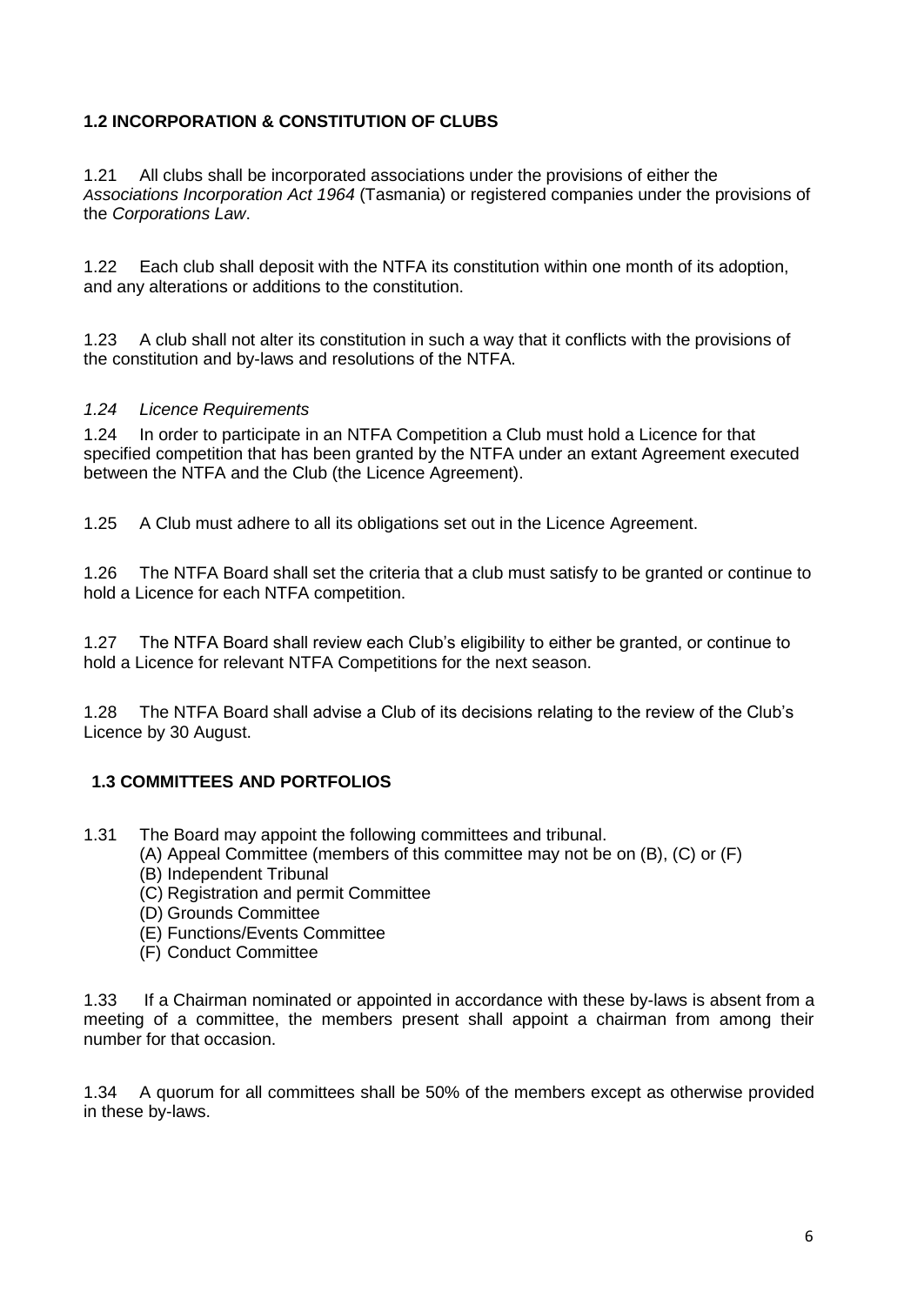# **1.2 INCORPORATION & CONSTITUTION OF CLUBS**

1.21All clubs shall be incorporated associations under the provisions of either the *Associations Incorporation Act 1964* (Tasmania) or registered companies under the provisions of the *Corporations Law*.

1.22Each club shall deposit with the NTFA its constitution within one month of its adoption, and any alterations or additions to the constitution.

1.23A club shall not alter its constitution in such a way that it conflicts with the provisions of the constitution and by-laws and resolutions of the NTFA.

#### *1.24 Licence Requirements*

1.24 In order to participate in an NTFA Competition a Club must hold a Licence for that specified competition that has been granted by the NTFA under an extant Agreement executed between the NTFA and the Club (the Licence Agreement).

1.25 A Club must adhere to all its obligations set out in the Licence Agreement.

1.26 The NTFA Board shall set the criteria that a club must satisfy to be granted or continue to hold a Licence for each NTFA competition.

1.27 The NTFA Board shall review each Club's eligibility to either be granted, or continue to hold a Licence for relevant NTFA Competitions for the next season.

1.28 The NTFA Board shall advise a Club of its decisions relating to the review of the Club's Licence by 30 August.

# **1.3 COMMITTEES AND PORTFOLIOS**

1.31 The Board may appoint the following committees and tribunal.

(A) Appeal Committee (members of this committee may not be on (B), (C) or (F)

- (B) Independent Tribunal
- (C) Registration and permit Committee
- (D) Grounds Committee
- (E) Functions/Events Committee
- (F) Conduct Committee

1.33 If a Chairman nominated or appointed in accordance with these by-laws is absent from a meeting of a committee, the members present shall appoint a chairman from among their number for that occasion.

1.34 A quorum for all committees shall be 50% of the members except as otherwise provided in these by-laws.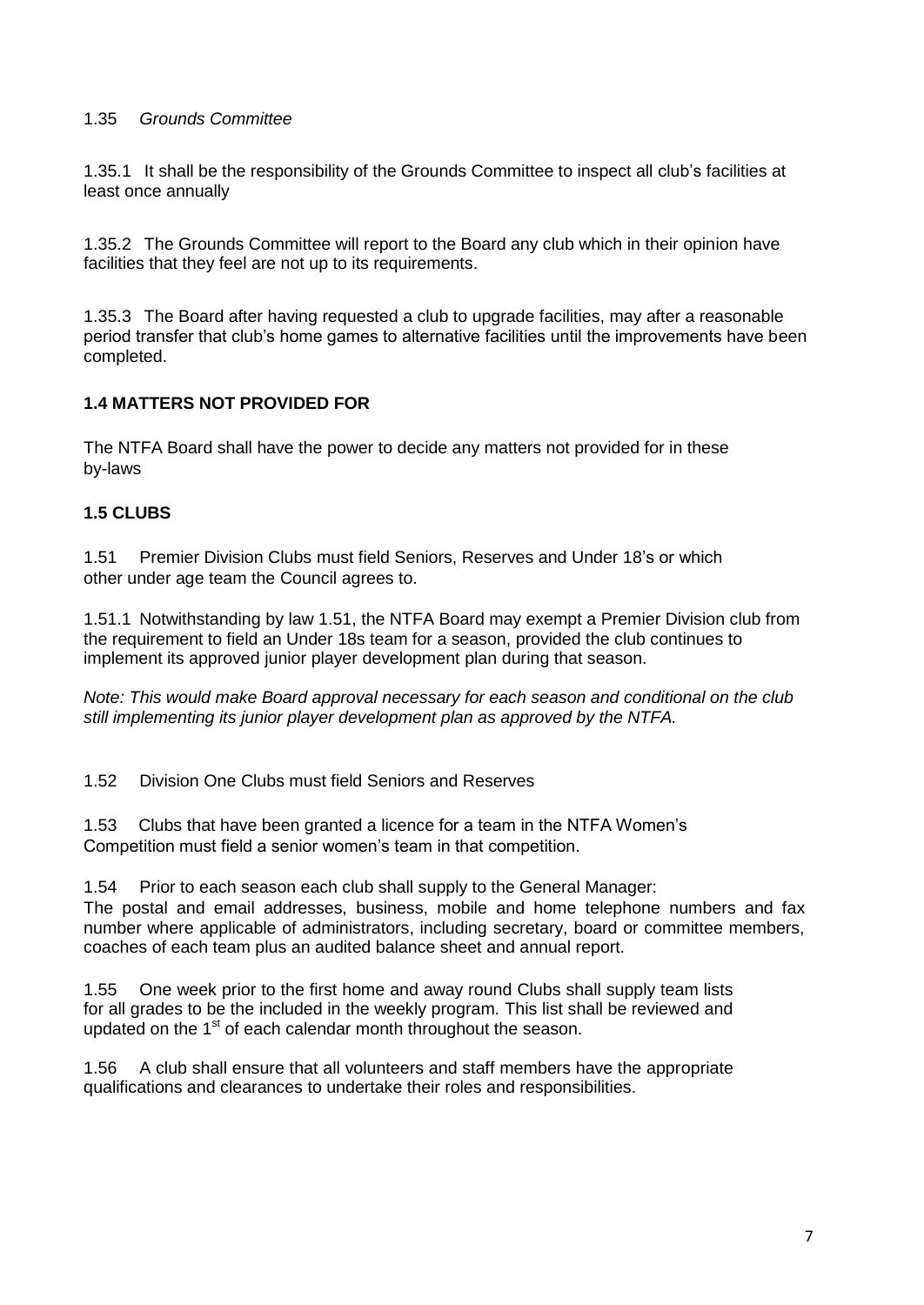#### 1.35 *Grounds Committee*

1.35.1 It shall be the responsibility of the Grounds Committee to inspect all club's facilities at least once annually

1.35.2 The Grounds Committee will report to the Board any club which in their opinion have facilities that they feel are not up to its requirements.

1.35.3 The Board after having requested a club to upgrade facilities, may after a reasonable period transfer that club's home games to alternative facilities until the improvements have been completed.

# **1.4 MATTERS NOT PROVIDED FOR**

The NTFA Board shall have the power to decide any matters not provided for in these by-laws

#### **1.5 CLUBS**

1.51 Premier Division Clubs must field Seniors, Reserves and Under 18's or which other under age team the Council agrees to.

1.51.1 Notwithstanding by law 1.51, the NTFA Board may exempt a Premier Division club from the requirement to field an Under 18s team for a season, provided the club continues to implement its approved junior player development plan during that season.

*Note: This would make Board approval necessary for each season and conditional on the club still implementing its junior player development plan as approved by the NTFA.*

1.52 Division One Clubs must field Seniors and Reserves

1.53 Clubs that have been granted a licence for a team in the NTFA Women's Competition must field a senior women's team in that competition.

1.54 Prior to each season each club shall supply to the General Manager: The postal and email addresses, business, mobile and home telephone numbers and fax number where applicable of administrators, including secretary, board or committee members, coaches of each team plus an audited balance sheet and annual report.

1.55 One week prior to the first home and away round Clubs shall supply team lists for all grades to be the included in the weekly program. This list shall be reviewed and updated on the 1<sup>st</sup> of each calendar month throughout the season.

1.56 A club shall ensure that all volunteers and staff members have the appropriate qualifications and clearances to undertake their roles and responsibilities.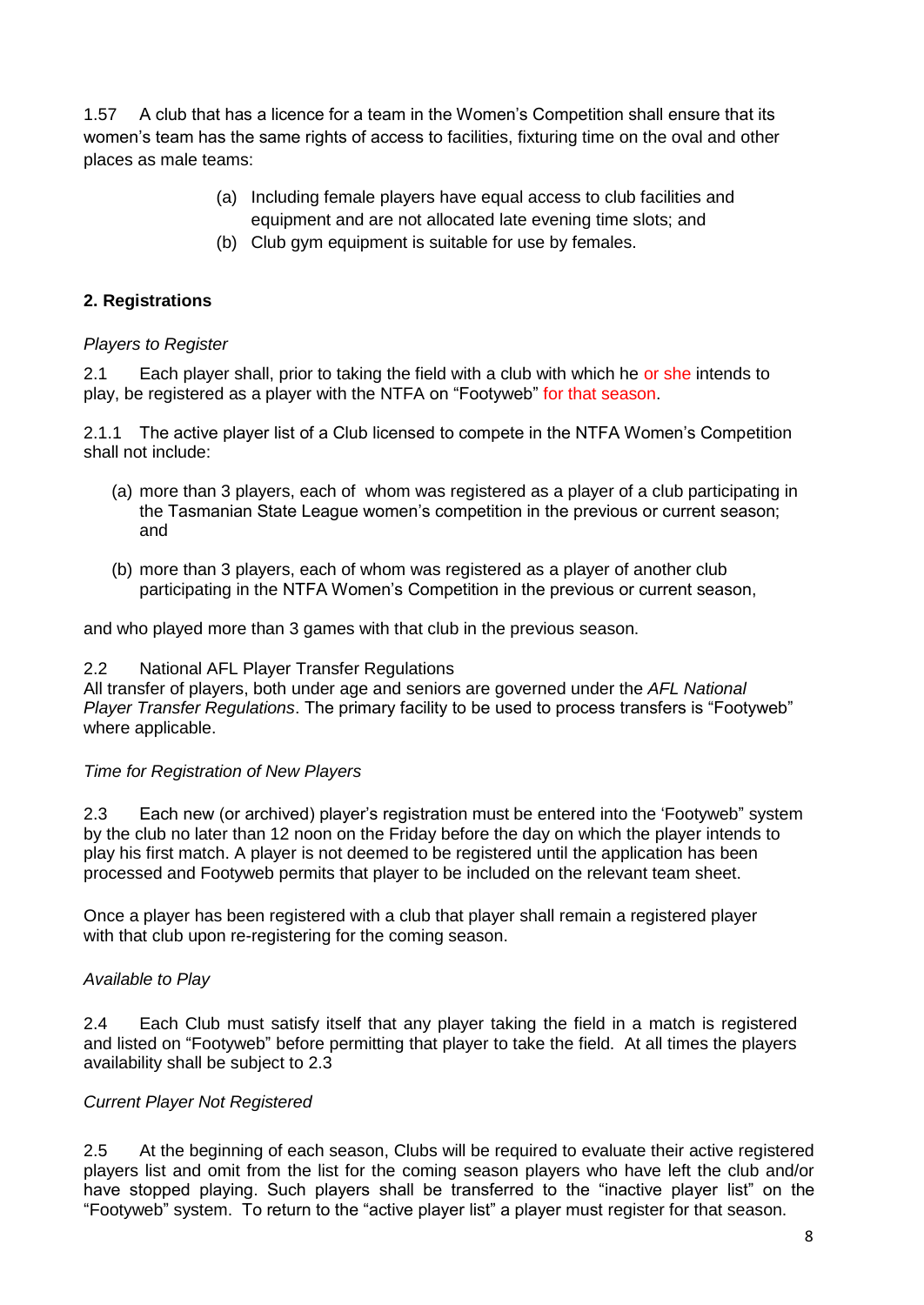1.57 A club that has a licence for a team in the Women's Competition shall ensure that its women's team has the same rights of access to facilities, fixturing time on the oval and other places as male teams:

- (a) Including female players have equal access to club facilities and equipment and are not allocated late evening time slots; and
- (b) Club gym equipment is suitable for use by females.

# **2. Registrations**

#### *Players to Register*

2.1 Each player shall, prior to taking the field with a club with which he or she intends to play, be registered as a player with the NTFA on "Footyweb" for that season.

2.1.1 The active player list of a Club licensed to compete in the NTFA Women's Competition shall not include:

- (a) more than 3 players, each of whom was registered as a player of a club participating in the Tasmanian State League women's competition in the previous or current season; and
- (b) more than 3 players, each of whom was registered as a player of another club participating in the NTFA Women's Competition in the previous or current season,

and who played more than 3 games with that club in the previous season.

#### 2.2 National AFL Player Transfer Regulations

All transfer of players, both under age and seniors are governed under the *AFL National Player Transfer Regulations*. The primary facility to be used to process transfers is "Footyweb" where applicable.

#### *Time for Registration of New Players*

2.3 Each new (or archived) player's registration must be entered into the 'Footyweb" system by the club no later than 12 noon on the Friday before the day on which the player intends to play his first match. A player is not deemed to be registered until the application has been processed and Footyweb permits that player to be included on the relevant team sheet.

Once a player has been registered with a club that player shall remain a registered player with that club upon re-registering for the coming season.

# *Available to Play*

2.4 Each Club must satisfy itself that any player taking the field in a match is registered and listed on "Footyweb" before permitting that player to take the field. At all times the players availability shall be subject to 2.3

# *Current Player Not Registered*

2.5 At the beginning of each season, Clubs will be required to evaluate their active registered players list and omit from the list for the coming season players who have left the club and/or have stopped playing. Such players shall be transferred to the "inactive player list" on the "Footyweb" system. To return to the "active player list" a player must register for that season.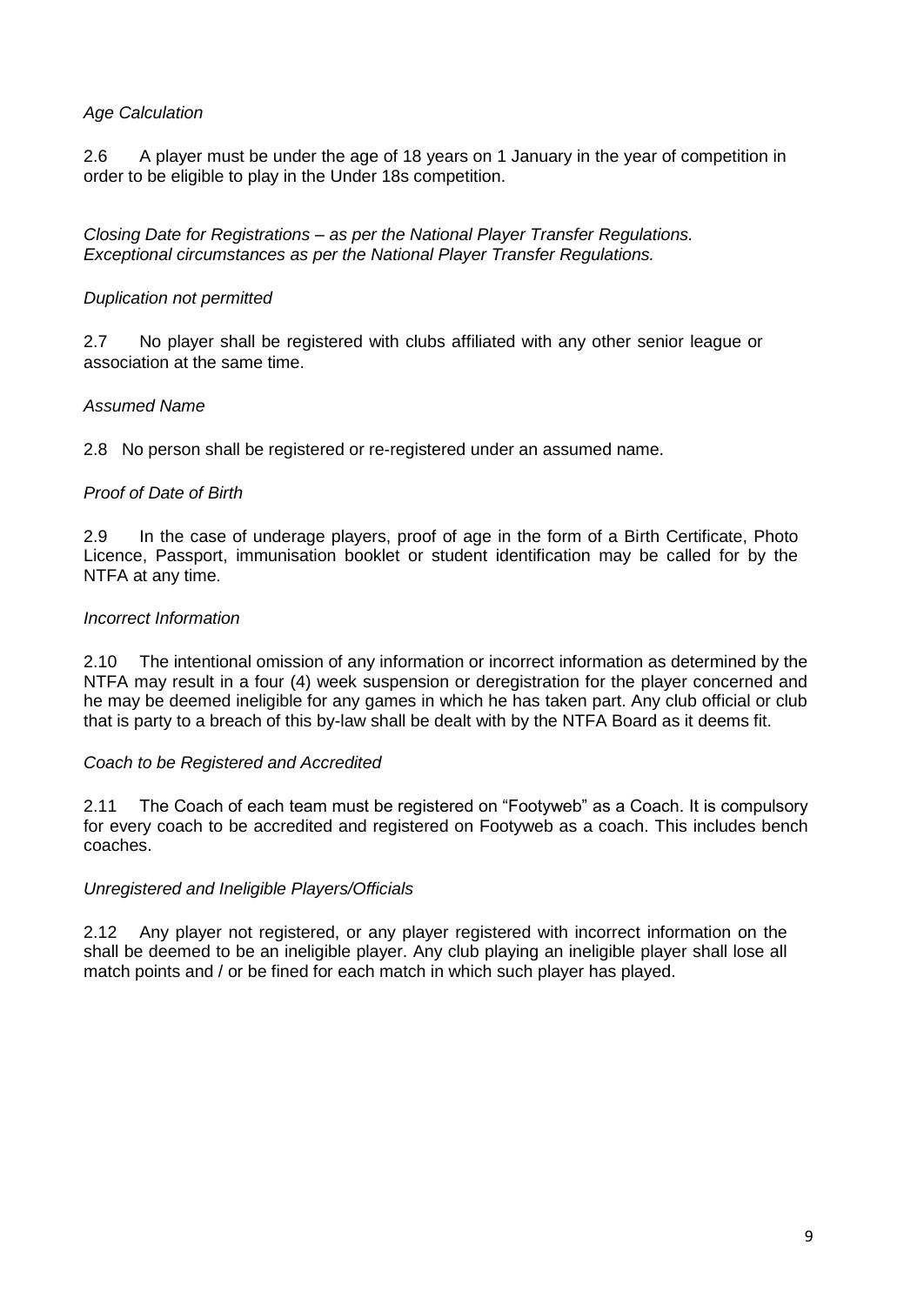#### *Age Calculation*

2.6 A player must be under the age of 18 years on 1 January in the year of competition in order to be eligible to play in the Under 18s competition.

*Closing Date for Registrations – as per the National Player Transfer Regulations. Exceptional circumstances as per the National Player Transfer Regulations.*

#### *Duplication not permitted*

2.7 No player shall be registered with clubs affiliated with any other senior league or association at the same time.

#### *Assumed Name*

2.8 No person shall be registered or re-registered under an assumed name.

#### *Proof of Date of Birth*

2.9 In the case of underage players, proof of age in the form of a Birth Certificate, Photo Licence, Passport, immunisation booklet or student identification may be called for by the NTFA at any time.

#### *Incorrect Information*

2.10 The intentional omission of any information or incorrect information as determined by the NTFA may result in a four (4) week suspension or deregistration for the player concerned and he may be deemed ineligible for any games in which he has taken part. Any club official or club that is party to a breach of this by-law shall be dealt with by the NTFA Board as it deems fit.

#### *Coach to be Registered and Accredited*

2.11 The Coach of each team must be registered on "Footyweb" as a Coach. It is compulsory for every coach to be accredited and registered on Footyweb as a coach. This includes bench coaches.

#### *Unregistered and Ineligible Players/Officials*

2.12 Any player not registered, or any player registered with incorrect information on the shall be deemed to be an ineligible player. Any club playing an ineligible player shall lose all match points and / or be fined for each match in which such player has played.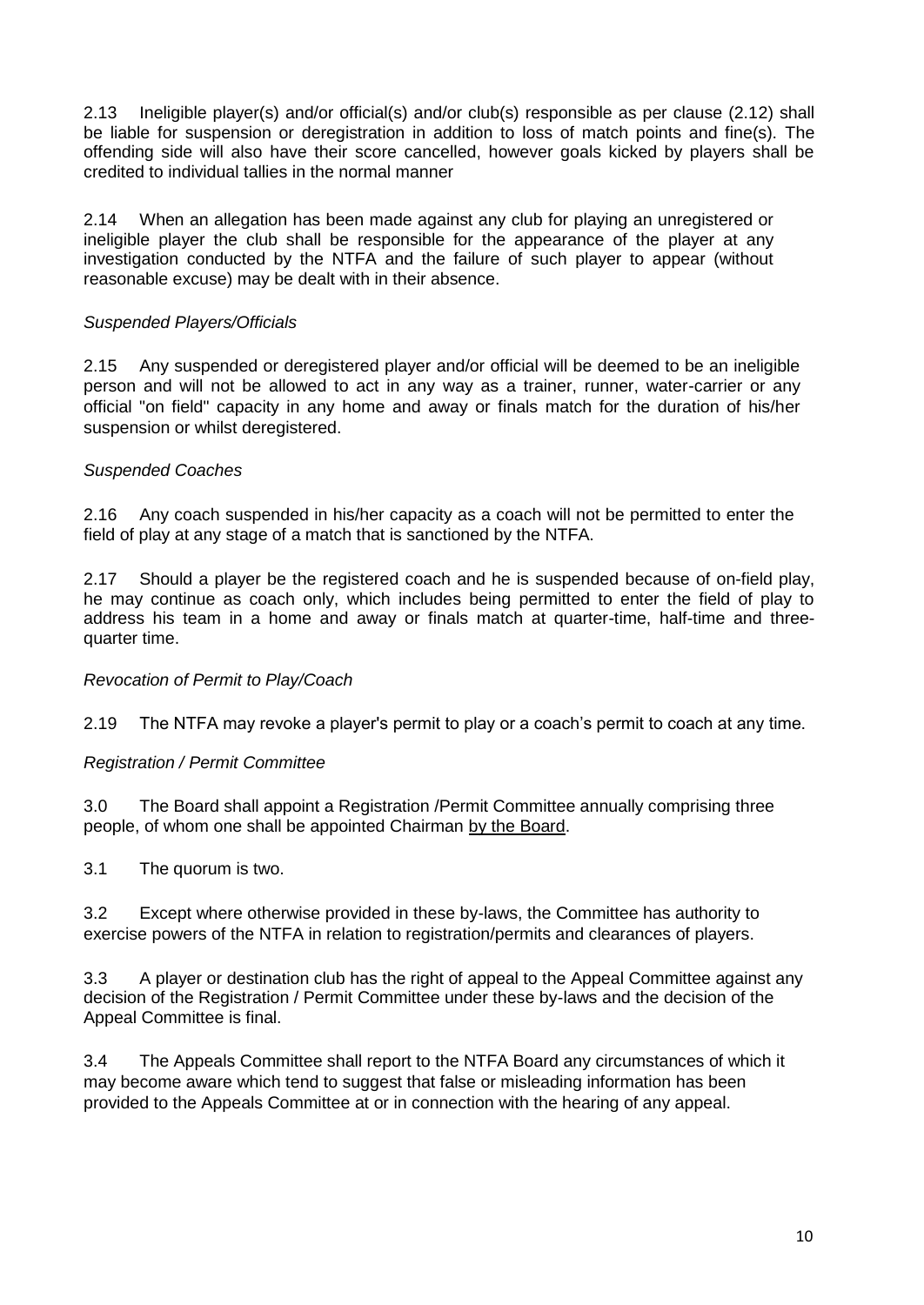2.13 Ineligible player(s) and/or official(s) and/or club(s) responsible as per clause (2.12) shall be liable for suspension or deregistration in addition to loss of match points and fine(s). The offending side will also have their score cancelled, however goals kicked by players shall be credited to individual tallies in the normal manner

2.14 When an allegation has been made against any club for playing an unregistered or ineligible player the club shall be responsible for the appearance of the player at any investigation conducted by the NTFA and the failure of such player to appear (without reasonable excuse) may be dealt with in their absence.

#### *Suspended Players/Officials*

2.15 Any suspended or deregistered player and/or official will be deemed to be an ineligible person and will not be allowed to act in any way as a trainer, runner, water-carrier or any official "on field" capacity in any home and away or finals match for the duration of his/her suspension or whilst deregistered.

#### *Suspended Coaches*

2.16 Any coach suspended in his/her capacity as a coach will not be permitted to enter the field of play at any stage of a match that is sanctioned by the NTFA.

2.17 Should a player be the registered coach and he is suspended because of on-field play, he may continue as coach only, which includes being permitted to enter the field of play to address his team in a home and away or finals match at quarter-time, half-time and threequarter time.

*Revocation of Permit to Play/Coach*

2.19 The NTFA may revoke a player's permit to play or a coach's permit to coach at any time.

#### *Registration / Permit Committee*

3.0 The Board shall appoint a Registration /Permit Committee annually comprising three people, of whom one shall be appointed Chairman by the Board.

3.1 The quorum is two.

3.2 Except where otherwise provided in these by-laws, the Committee has authority to exercise powers of the NTFA in relation to registration/permits and clearances of players.

3.3 A player or destination club has the right of appeal to the Appeal Committee against any decision of the Registration / Permit Committee under these by-laws and the decision of the Appeal Committee is final.

3.4 The Appeals Committee shall report to the NTFA Board any circumstances of which it may become aware which tend to suggest that false or misleading information has been provided to the Appeals Committee at or in connection with the hearing of any appeal.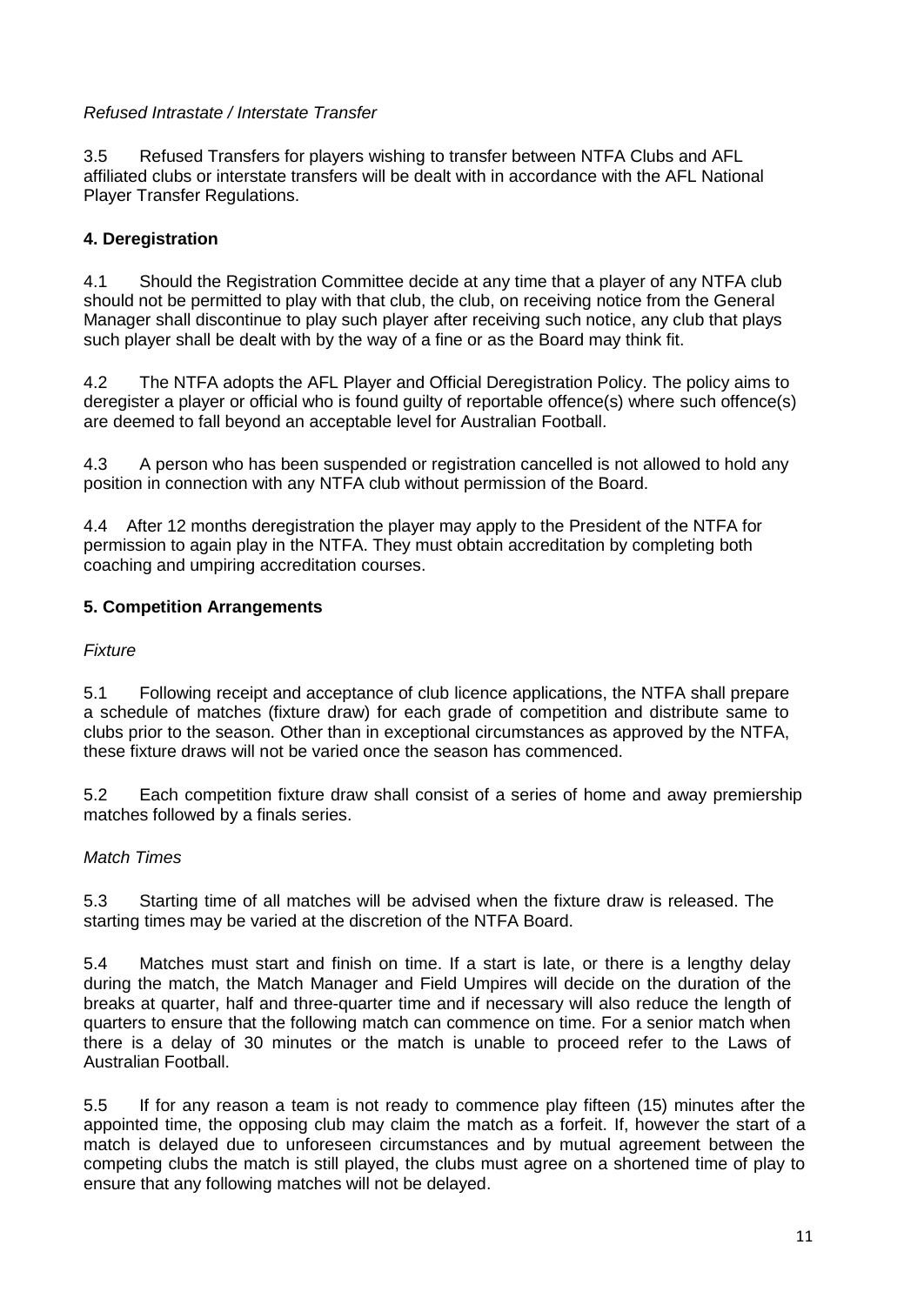# *Refused Intrastate / Interstate Transfer*

3.5 Refused Transfers for players wishing to transfer between NTFA Clubs and AFL affiliated clubs or interstate transfers will be dealt with in accordance with the AFL National Player Transfer Regulations.

# **4. Deregistration**

4.1 Should the Registration Committee decide at any time that a player of any NTFA club should not be permitted to play with that club, the club, on receiving notice from the General Manager shall discontinue to play such player after receiving such notice, any club that plays such player shall be dealt with by the way of a fine or as the Board may think fit.

4.2 The NTFA adopts the AFL Player and Official Deregistration Policy. The policy aims to deregister a player or official who is found guilty of reportable offence(s) where such offence(s) are deemed to fall beyond an acceptable level for Australian Football.

4.3 A person who has been suspended or registration cancelled is not allowed to hold any position in connection with any NTFA club without permission of the Board.

4.4 After 12 months deregistration the player may apply to the President of the NTFA for permission to again play in the NTFA. They must obtain accreditation by completing both coaching and umpiring accreditation courses.

# **5. Competition Arrangements**

# *Fixture*

5.1 Following receipt and acceptance of club licence applications, the NTFA shall prepare a schedule of matches (fixture draw) for each grade of competition and distribute same to clubs prior to the season. Other than in exceptional circumstances as approved by the NTFA, these fixture draws will not be varied once the season has commenced.

5.2 Each competition fixture draw shall consist of a series of home and away premiership matches followed by a finals series.

# *Match Times*

5.3 Starting time of all matches will be advised when the fixture draw is released. The starting times may be varied at the discretion of the NTFA Board.

5.4 Matches must start and finish on time. If a start is late, or there is a lengthy delay during the match, the Match Manager and Field Umpires will decide on the duration of the breaks at quarter, half and three-quarter time and if necessary will also reduce the length of quarters to ensure that the following match can commence on time. For a senior match when there is a delay of 30 minutes or the match is unable to proceed refer to the Laws of Australian Football.

5.5 If for any reason a team is not ready to commence play fifteen (15) minutes after the appointed time, the opposing club may claim the match as a forfeit. If, however the start of a match is delayed due to unforeseen circumstances and by mutual agreement between the competing clubs the match is still played, the clubs must agree on a shortened time of play to ensure that any following matches will not be delayed.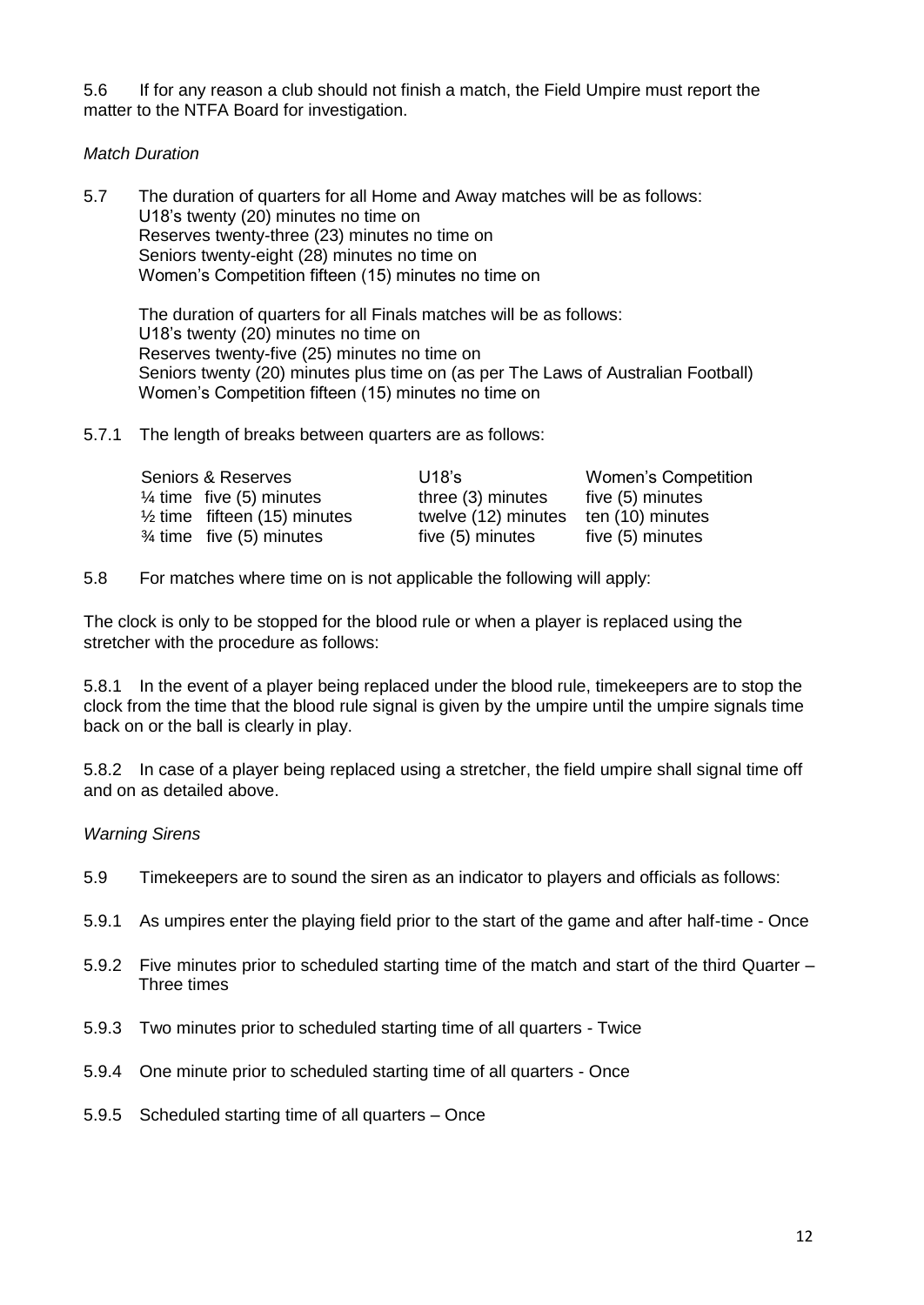5.6 If for any reason a club should not finish a match, the Field Umpire must report the matter to the NTFA Board for investigation.

#### *Match Duration*

5.7 The duration of quarters for all Home and Away matches will be as follows: U18's twenty (20) minutes no time on Reserves twenty-three (23) minutes no time on Seniors twenty-eight (28) minutes no time on Women's Competition fifteen (15) minutes no time on

The duration of quarters for all Finals matches will be as follows: U18's twenty (20) minutes no time on Reserves twenty-five (25) minutes no time on Seniors twenty (20) minutes plus time on (as per The Laws of Australian Football) Women's Competition fifteen (15) minutes no time on

5.7.1 The length of breaks between quarters are as follows:

| Seniors & Reserves                      | $U18$ 's                             | <b>Women's Competition</b> |
|-----------------------------------------|--------------------------------------|----------------------------|
| $\frac{1}{4}$ time five (5) minutes     | three (3) minutes                    | five (5) minutes           |
| $\frac{1}{2}$ time fifteen (15) minutes | twelve (12) minutes ten (10) minutes |                            |
| $\frac{3}{4}$ time five (5) minutes     | five (5) minutes                     | five (5) minutes           |

5.8 For matches where time on is not applicable the following will apply:

The clock is only to be stopped for the blood rule or when a player is replaced using the stretcher with the procedure as follows:

5.8.1 In the event of a player being replaced under the blood rule, timekeepers are to stop the clock from the time that the blood rule signal is given by the umpire until the umpire signals time back on or the ball is clearly in play.

5.8.2 In case of a player being replaced using a stretcher, the field umpire shall signal time off and on as detailed above.

#### *Warning Sirens*

- 5.9 Timekeepers are to sound the siren as an indicator to players and officials as follows:
- 5.9.1 As umpires enter the playing field prior to the start of the game and after half-time Once
- 5.9.2 Five minutes prior to scheduled starting time of the match and start of the third Quarter Three times
- 5.9.3 Two minutes prior to scheduled starting time of all quarters Twice
- 5.9.4 One minute prior to scheduled starting time of all quarters Once
- 5.9.5 Scheduled starting time of all quarters Once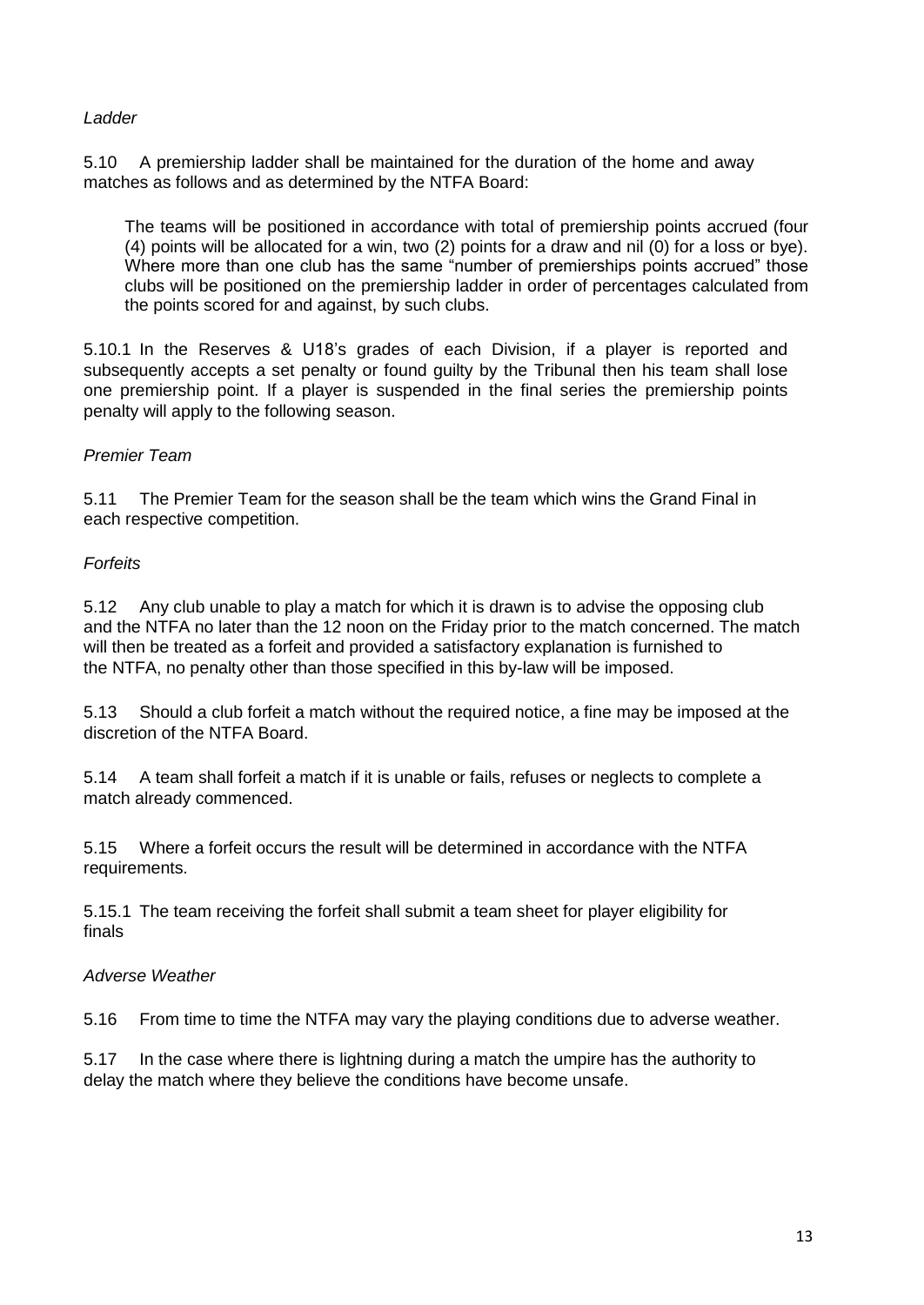#### *Ladder*

5.10 A premiership ladder shall be maintained for the duration of the home and away matches as follows and as determined by the NTFA Board:

The teams will be positioned in accordance with total of premiership points accrued (four (4) points will be allocated for a win, two (2) points for a draw and nil (0) for a loss or bye). Where more than one club has the same "number of premierships points accrued" those clubs will be positioned on the premiership ladder in order of percentages calculated from the points scored for and against, by such clubs.

5.10.1 In the Reserves & U18's grades of each Division, if a player is reported and subsequently accepts a set penalty or found guilty by the Tribunal then his team shall lose one premiership point. If a player is suspended in the final series the premiership points penalty will apply to the following season.

#### *Premier Team*

5.11 The Premier Team for the season shall be the team which wins the Grand Final in each respective competition.

#### *Forfeits*

5.12 Any club unable to play a match for which it is drawn is to advise the opposing club and the NTFA no later than the 12 noon on the Friday prior to the match concerned. The match will then be treated as a forfeit and provided a satisfactory explanation is furnished to the NTFA, no penalty other than those specified in this by-law will be imposed.

5.13 Should a club forfeit a match without the required notice, a fine may be imposed at the discretion of the NTFA Board.

5.14 A team shall forfeit a match if it is unable or fails, refuses or neglects to complete a match already commenced.

5.15 Where a forfeit occurs the result will be determined in accordance with the NTFA requirements.

5.15.1 The team receiving the forfeit shall submit a team sheet for player eligibility for finals

#### *Adverse Weather*

5.16 From time to time the NTFA may vary the playing conditions due to adverse weather.

5.17 In the case where there is lightning during a match the umpire has the authority to delay the match where they believe the conditions have become unsafe.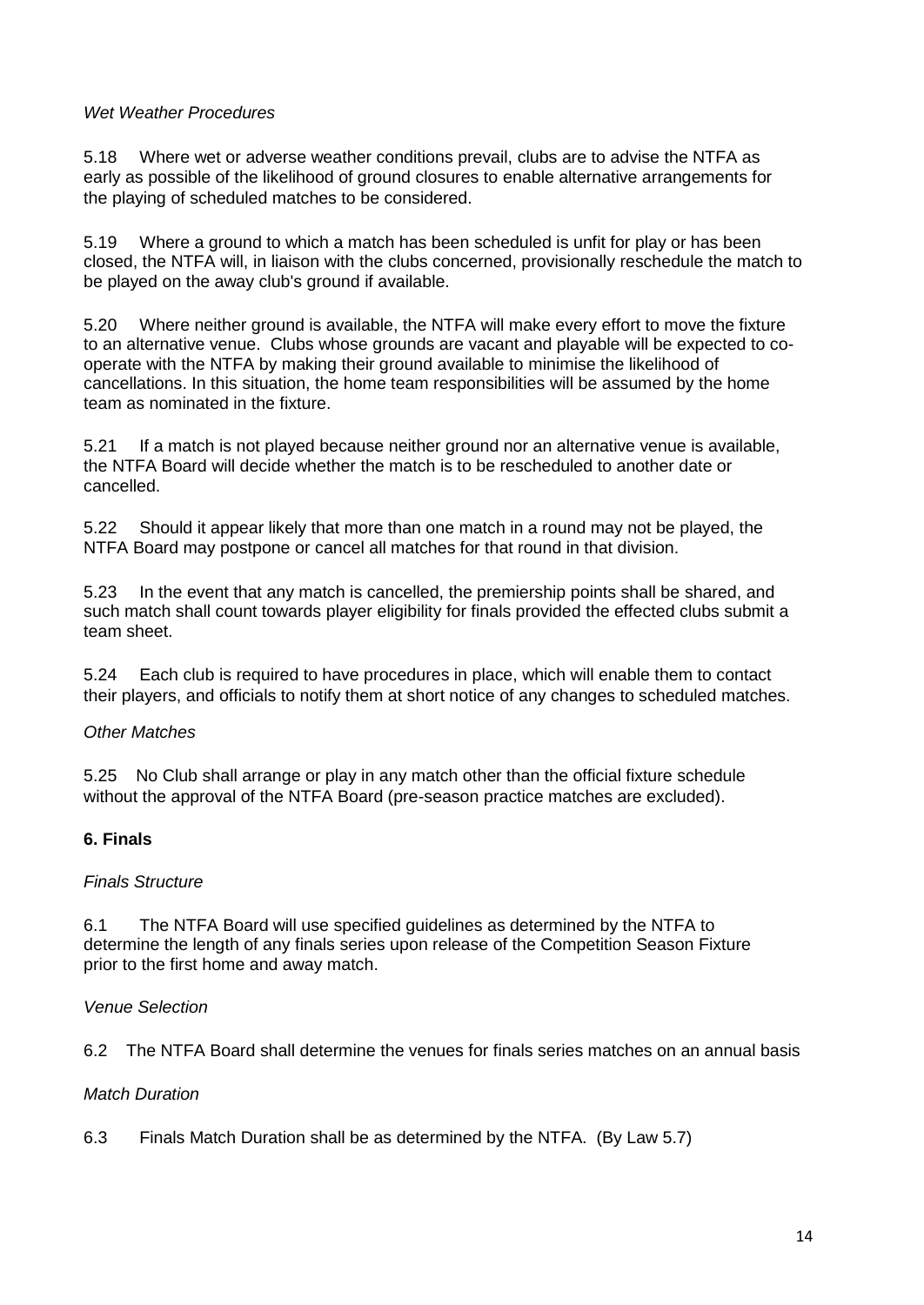#### *Wet Weather Procedures*

5.18 Where wet or adverse weather conditions prevail, clubs are to advise the NTFA as early as possible of the likelihood of ground closures to enable alternative arrangements for the playing of scheduled matches to be considered.

5.19 Where a ground to which a match has been scheduled is unfit for play or has been closed, the NTFA will, in liaison with the clubs concerned, provisionally reschedule the match to be played on the away club's ground if available.

5.20 Where neither ground is available, the NTFA will make every effort to move the fixture to an alternative venue. Clubs whose grounds are vacant and playable will be expected to cooperate with the NTFA by making their ground available to minimise the likelihood of cancellations. In this situation, the home team responsibilities will be assumed by the home team as nominated in the fixture.

5.21 If a match is not played because neither ground nor an alternative venue is available, the NTFA Board will decide whether the match is to be rescheduled to another date or cancelled.

5.22 Should it appear likely that more than one match in a round may not be played, the NTFA Board may postpone or cancel all matches for that round in that division.

5.23 In the event that any match is cancelled, the premiership points shall be shared, and such match shall count towards player eligibility for finals provided the effected clubs submit a team sheet.

5.24 Each club is required to have procedures in place, which will enable them to contact their players, and officials to notify them at short notice of any changes to scheduled matches.

#### *Other Matches*

5.25 No Club shall arrange or play in any match other than the official fixture schedule without the approval of the NTFA Board (pre-season practice matches are excluded).

# **6. Finals**

#### *Finals Structure*

6.1 The NTFA Board will use specified guidelines as determined by the NTFA to determine the length of any finals series upon release of the Competition Season Fixture prior to the first home and away match.

#### *Venue Selection*

6.2 The NTFA Board shall determine the venues for finals series matches on an annual basis

#### *Match Duration*

6.3 Finals Match Duration shall be as determined by the NTFA. (By Law 5.7)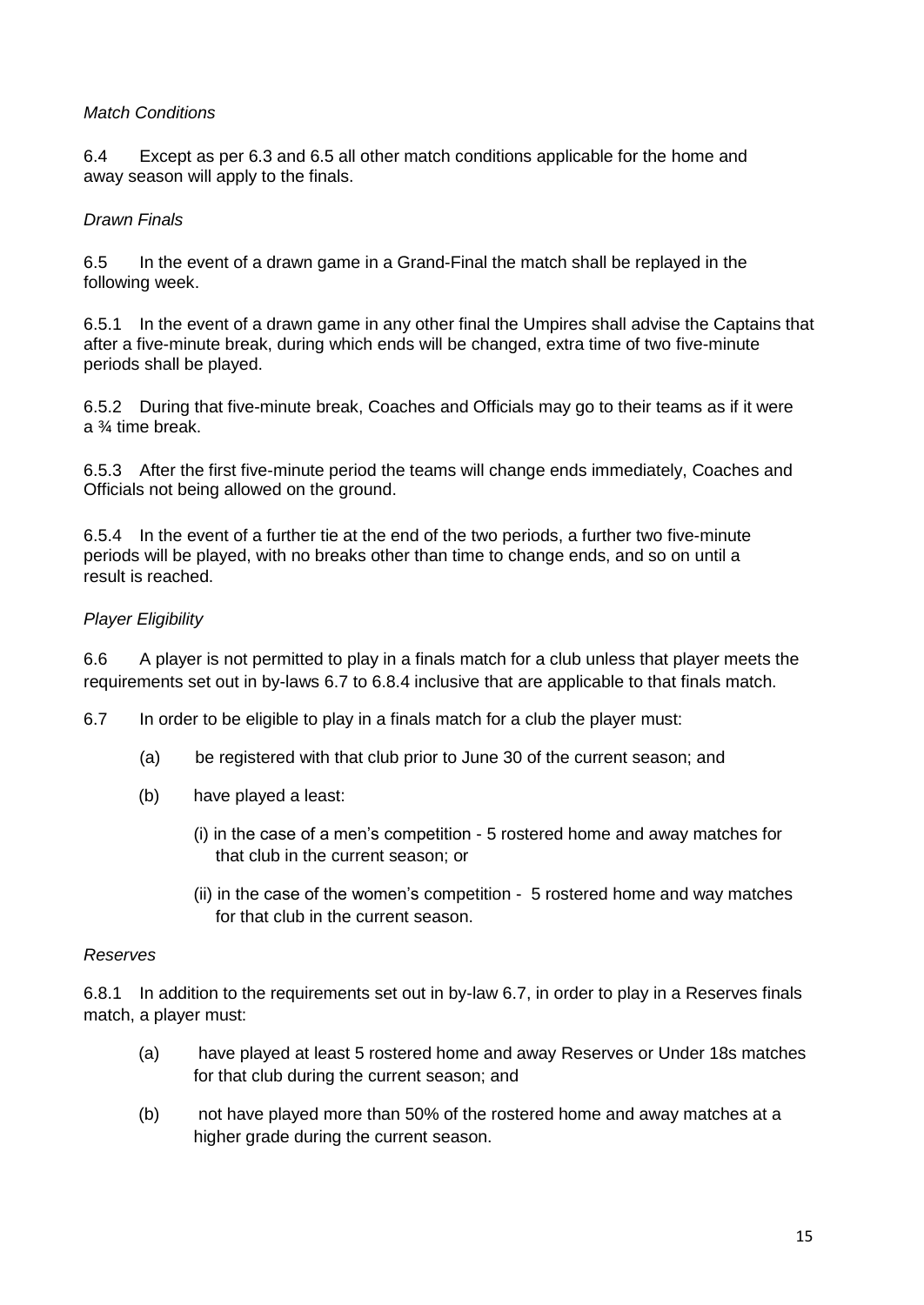#### *Match Conditions*

6.4 Except as per 6.3 and 6.5 all other match conditions applicable for the home and away season will apply to the finals.

#### *Drawn Finals*

6.5 In the event of a drawn game in a Grand-Final the match shall be replayed in the following week.

6.5.1 In the event of a drawn game in any other final the Umpires shall advise the Captains that after a five-minute break, during which ends will be changed, extra time of two five-minute periods shall be played.

6.5.2 During that five-minute break, Coaches and Officials may go to their teams as if it were a ¾ time break.

6.5.3 After the first five-minute period the teams will change ends immediately, Coaches and Officials not being allowed on the ground.

6.5.4 In the event of a further tie at the end of the two periods, a further two five-minute periods will be played, with no breaks other than time to change ends, and so on until a result is reached.

#### *Player Eligibility*

6.6 A player is not permitted to play in a finals match for a club unless that player meets the requirements set out in by-laws 6.7 to 6.8.4 inclusive that are applicable to that finals match.

6.7 In order to be eligible to play in a finals match for a club the player must:

- (a) be registered with that club prior to June 30 of the current season; and
- (b) have played a least:
	- (i) in the case of a men's competition 5 rostered home and away matches for that club in the current season; or
	- (ii) in the case of the women's competition 5 rostered home and way matches for that club in the current season.

#### *Reserves*

6.8.1 In addition to the requirements set out in by-law 6.7, in order to play in a Reserves finals match, a player must:

- (a) have played at least 5 rostered home and away Reserves or Under 18s matches for that club during the current season; and
- (b) not have played more than 50% of the rostered home and away matches at a higher grade during the current season.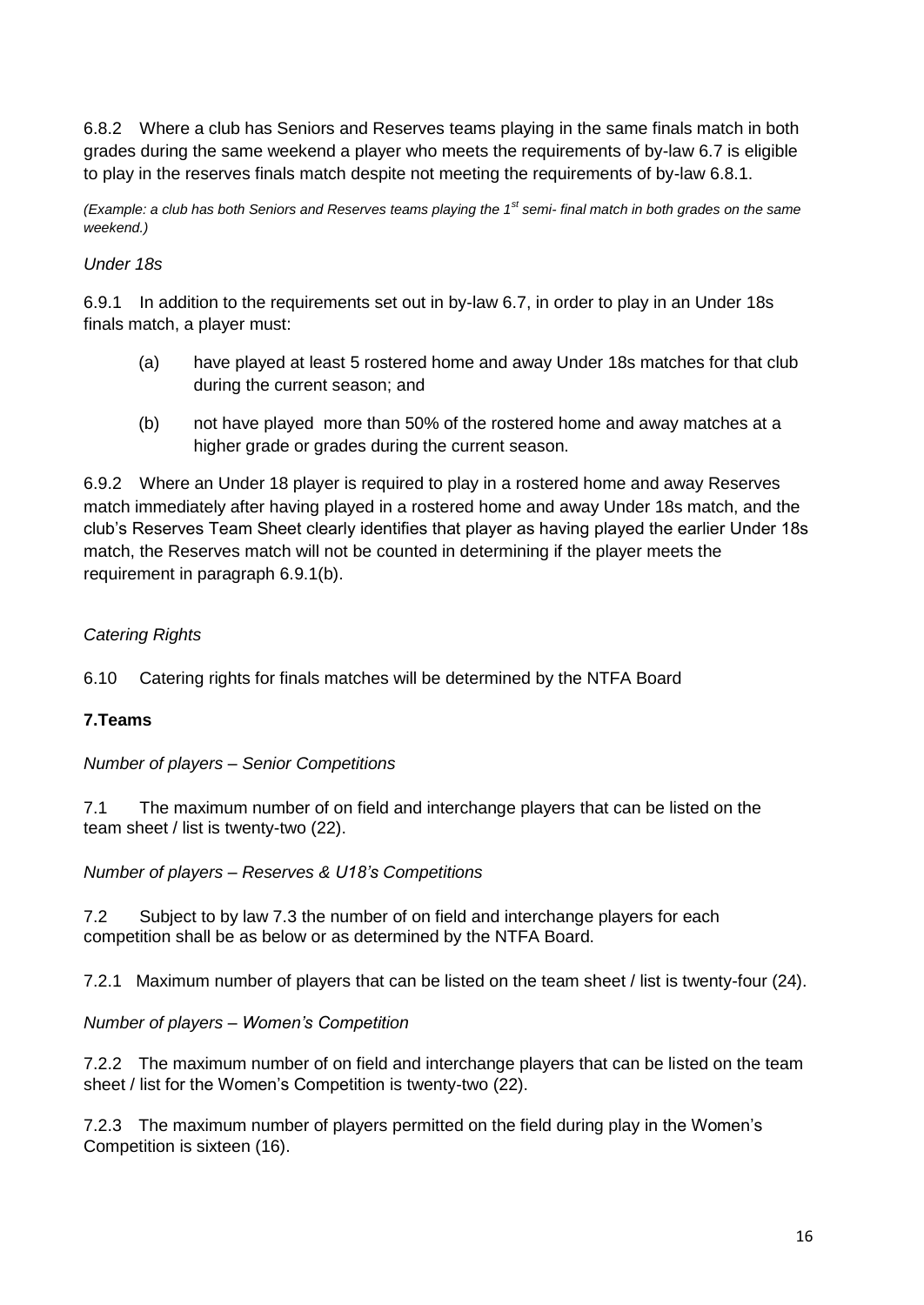6.8.2 Where a club has Seniors and Reserves teams playing in the same finals match in both grades during the same weekend a player who meets the requirements of by-law 6.7 is eligible to play in the reserves finals match despite not meeting the requirements of by-law 6.8.1.

*(Example: a club has both Seniors and Reserves teams playing the 1st semi- final match in both grades on the same weekend.)*

# *Under 18s*

6.9.1 In addition to the requirements set out in by-law 6.7, in order to play in an Under 18s finals match, a player must:

- (a) have played at least 5 rostered home and away Under 18s matches for that club during the current season; and
- (b) not have played more than 50% of the rostered home and away matches at a higher grade or grades during the current season.

6.9.2 Where an Under 18 player is required to play in a rostered home and away Reserves match immediately after having played in a rostered home and away Under 18s match, and the club's Reserves Team Sheet clearly identifies that player as having played the earlier Under 18s match, the Reserves match will not be counted in determining if the player meets the requirement in paragraph 6.9.1(b).

# *Catering Rights*

6.10 Catering rights for finals matches will be determined by the NTFA Board

# **7.Teams**

*Number of players – Senior Competitions*

7.1 The maximum number of on field and interchange players that can be listed on the team sheet / list is twenty-two (22).

*Number of players – Reserves & U18's Competitions*

7.2 Subject to by law 7.3 the number of on field and interchange players for each competition shall be as below or as determined by the NTFA Board.

7.2.1 Maximum number of players that can be listed on the team sheet / list is twenty-four (24).

*Number of players – Women's Competition*

7.2.2 The maximum number of on field and interchange players that can be listed on the team sheet / list for the Women's Competition is twenty-two (22).

7.2.3 The maximum number of players permitted on the field during play in the Women's Competition is sixteen (16).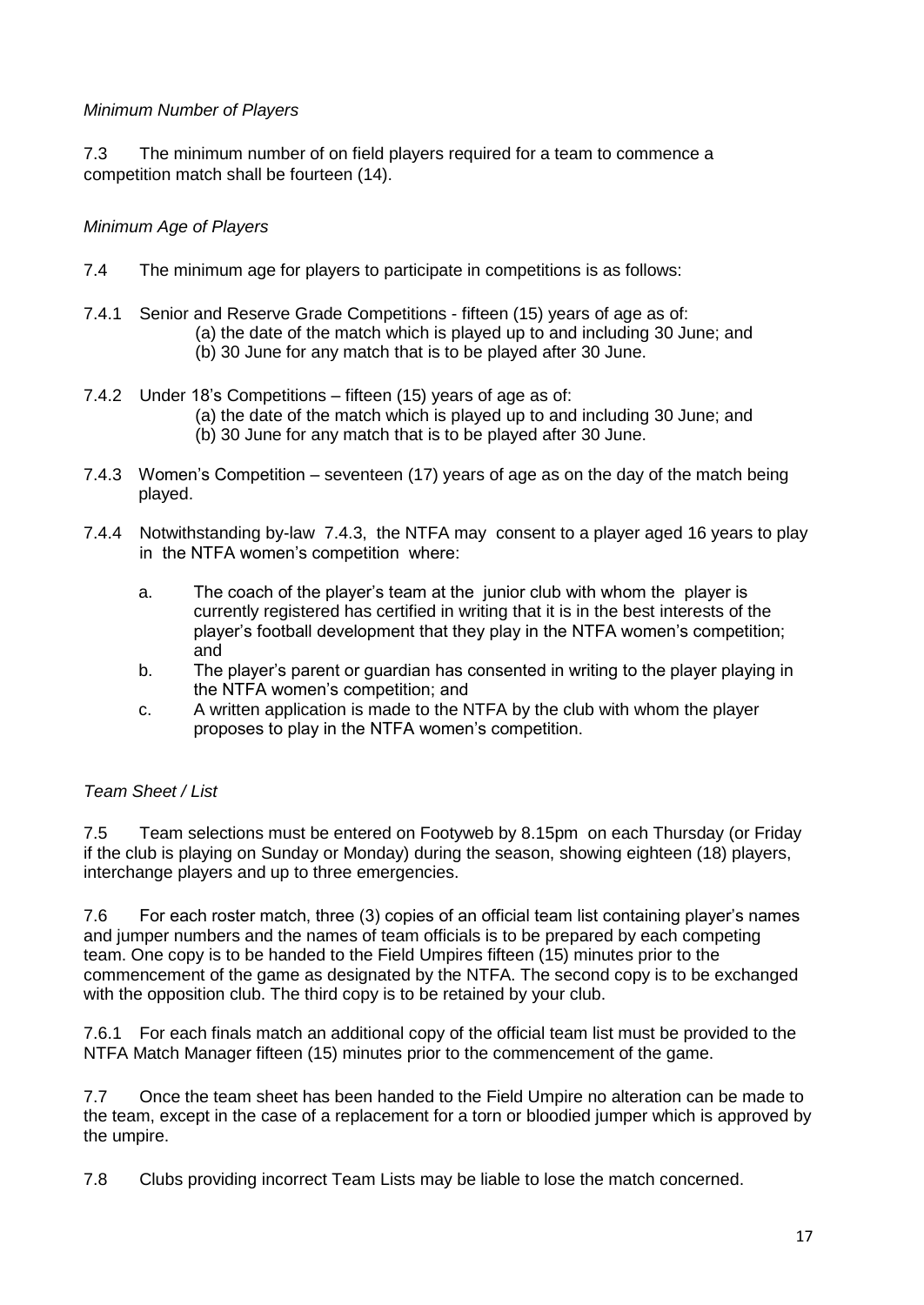#### *Minimum Number of Players*

7.3 The minimum number of on field players required for a team to commence a competition match shall be fourteen (14).

#### *Minimum Age of Players*

- 7.4 The minimum age for players to participate in competitions is as follows:
- 7.4.1 Senior and Reserve Grade Competitions fifteen (15) years of age as of: (a) the date of the match which is played up to and including 30 June; and (b) 30 June for any match that is to be played after 30 June.
- 7.4.2 Under 18's Competitions fifteen (15) years of age as of: (a) the date of the match which is played up to and including 30 June; and (b) 30 June for any match that is to be played after 30 June.
- 7.4.3 Women's Competition seventeen (17) years of age as on the day of the match being played.
- 7.4.4 Notwithstanding by-law 7.4.3, the NTFA may consent to a player aged 16 years to play in the NTFA women's competition where:
	- a. The coach of the player's team at the junior club with whom the player is currently registered has certified in writing that it is in the best interests of the player's football development that they play in the NTFA women's competition; and
	- b. The player's parent or guardian has consented in writing to the player playing in the NTFA women's competition; and
	- c. A written application is made to the NTFA by the club with whom the player proposes to play in the NTFA women's competition.

# *Team Sheet / List*

7.5 Team selections must be entered on Footyweb by 8.15pm on each Thursday (or Friday if the club is playing on Sunday or Monday) during the season, showing eighteen (18) players, interchange players and up to three emergencies.

7.6 For each roster match, three (3) copies of an official team list containing player's names and jumper numbers and the names of team officials is to be prepared by each competing team. One copy is to be handed to the Field Umpires fifteen (15) minutes prior to the commencement of the game as designated by the NTFA. The second copy is to be exchanged with the opposition club. The third copy is to be retained by your club.

7.6.1 For each finals match an additional copy of the official team list must be provided to the NTFA Match Manager fifteen (15) minutes prior to the commencement of the game.

7.7 Once the team sheet has been handed to the Field Umpire no alteration can be made to the team, except in the case of a replacement for a torn or bloodied jumper which is approved by the umpire.

7.8 Clubs providing incorrect Team Lists may be liable to lose the match concerned.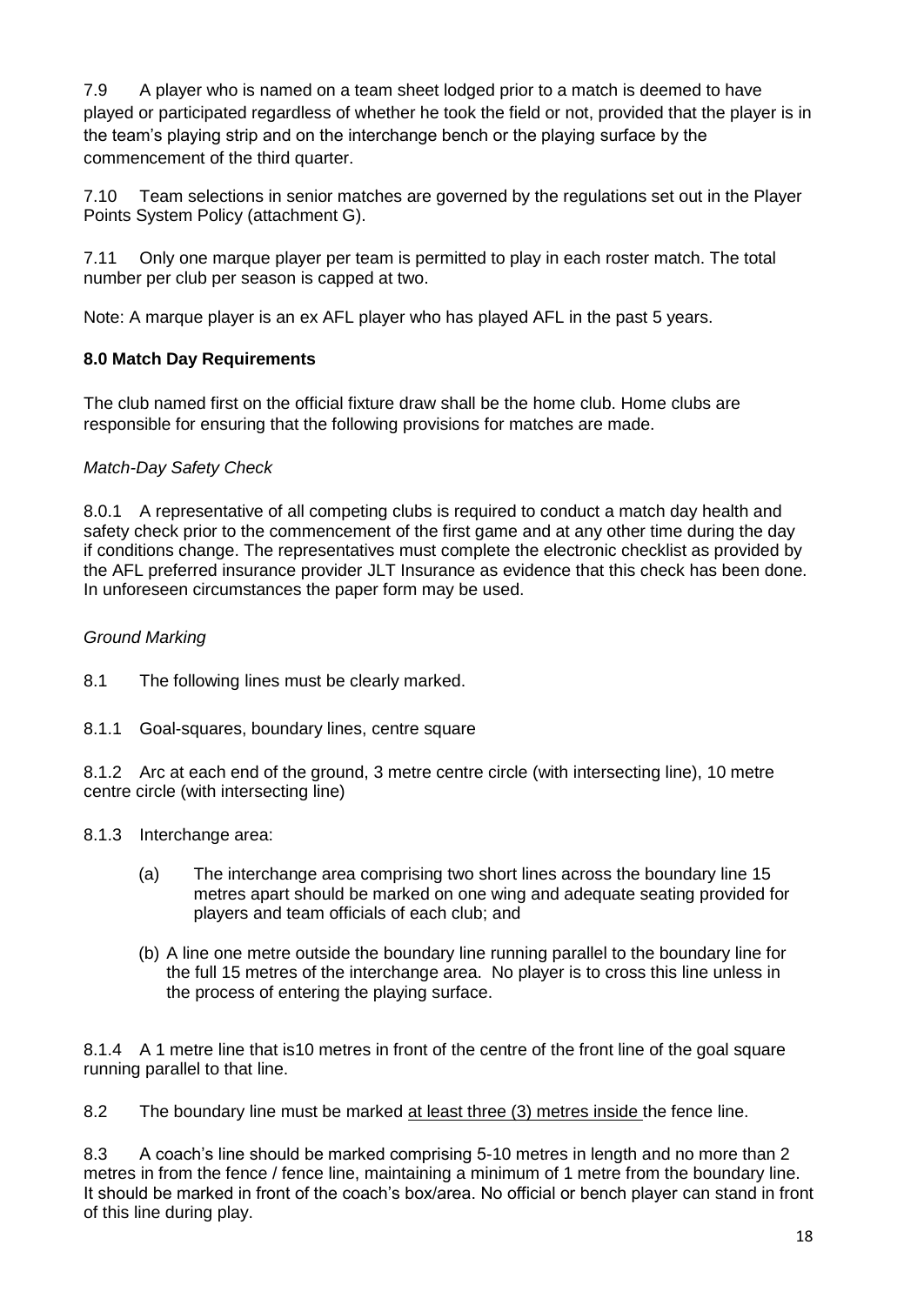7.9 A player who is named on a team sheet lodged prior to a match is deemed to have played or participated regardless of whether he took the field or not, provided that the player is in the team's playing strip and on the interchange bench or the playing surface by the commencement of the third quarter.

7.10 Team selections in senior matches are governed by the regulations set out in the Player Points System Policy (attachment G).

7.11 Only one marque player per team is permitted to play in each roster match. The total number per club per season is capped at two.

Note: A marque player is an ex AFL player who has played AFL in the past 5 years.

# **8.0 Match Day Requirements**

The club named first on the official fixture draw shall be the home club. Home clubs are responsible for ensuring that the following provisions for matches are made.

#### *Match-Day Safety Check*

8.0.1 A representative of all competing clubs is required to conduct a match day health and safety check prior to the commencement of the first game and at any other time during the day if conditions change. The representatives must complete the electronic checklist as provided by the AFL preferred insurance provider JLT Insurance as evidence that this check has been done. In unforeseen circumstances the paper form may be used.

#### *Ground Marking*

- 8.1 The following lines must be clearly marked.
- 8.1.1 Goal-squares, boundary lines, centre square

8.1.2 Arc at each end of the ground, 3 metre centre circle (with intersecting line), 10 metre centre circle (with intersecting line)

- 8.1.3 Interchange area:
	- (a) The interchange area comprising two short lines across the boundary line 15 metres apart should be marked on one wing and adequate seating provided for players and team officials of each club; and
	- (b) A line one metre outside the boundary line running parallel to the boundary line for the full 15 metres of the interchange area. No player is to cross this line unless in the process of entering the playing surface.

8.1.4 A 1 metre line that is10 metres in front of the centre of the front line of the goal square running parallel to that line.

8.2 The boundary line must be marked at least three (3) metres inside the fence line.

8.3 A coach's line should be marked comprising 5-10 metres in length and no more than 2 metres in from the fence / fence line, maintaining a minimum of 1 metre from the boundary line. It should be marked in front of the coach's box/area. No official or bench player can stand in front of this line during play.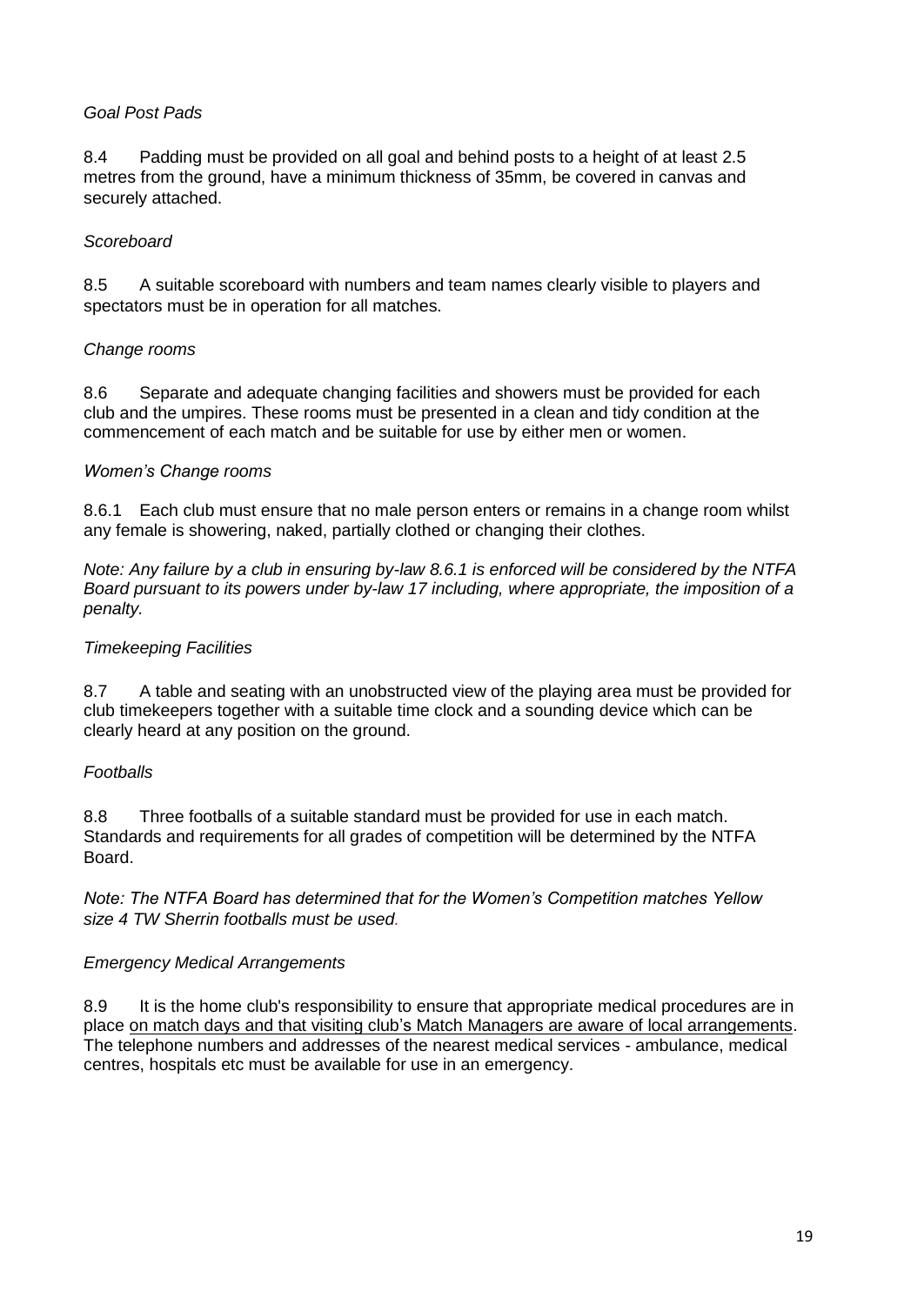# *Goal Post Pads*

8.4 Padding must be provided on all goal and behind posts to a height of at least 2.5 metres from the ground, have a minimum thickness of 35mm, be covered in canvas and securely attached.

# *Scoreboard*

8.5 A suitable scoreboard with numbers and team names clearly visible to players and spectators must be in operation for all matches.

# *Change rooms*

8.6 Separate and adequate changing facilities and showers must be provided for each club and the umpires. These rooms must be presented in a clean and tidy condition at the commencement of each match and be suitable for use by either men or women.

#### *Women's Change rooms*

8.6.1 Each club must ensure that no male person enters or remains in a change room whilst any female is showering, naked, partially clothed or changing their clothes.

*Note: Any failure by a club in ensuring by-law 8.6.1 is enforced will be considered by the NTFA Board pursuant to its powers under by-law 17 including, where appropriate, the imposition of a penalty.* 

#### *Timekeeping Facilities*

8.7 A table and seating with an unobstructed view of the playing area must be provided for club timekeepers together with a suitable time clock and a sounding device which can be clearly heard at any position on the ground.

#### *Footballs*

8.8 Three footballs of a suitable standard must be provided for use in each match. Standards and requirements for all grades of competition will be determined by the NTFA Board.

*Note: The NTFA Board has determined that for the Women's Competition matches Yellow size 4 TW Sherrin footballs must be used.*

# *Emergency Medical Arrangements*

8.9 It is the home club's responsibility to ensure that appropriate medical procedures are in place on match days and that visiting club's Match Managers are aware of local arrangements. The telephone numbers and addresses of the nearest medical services - ambulance, medical centres, hospitals etc must be available for use in an emergency.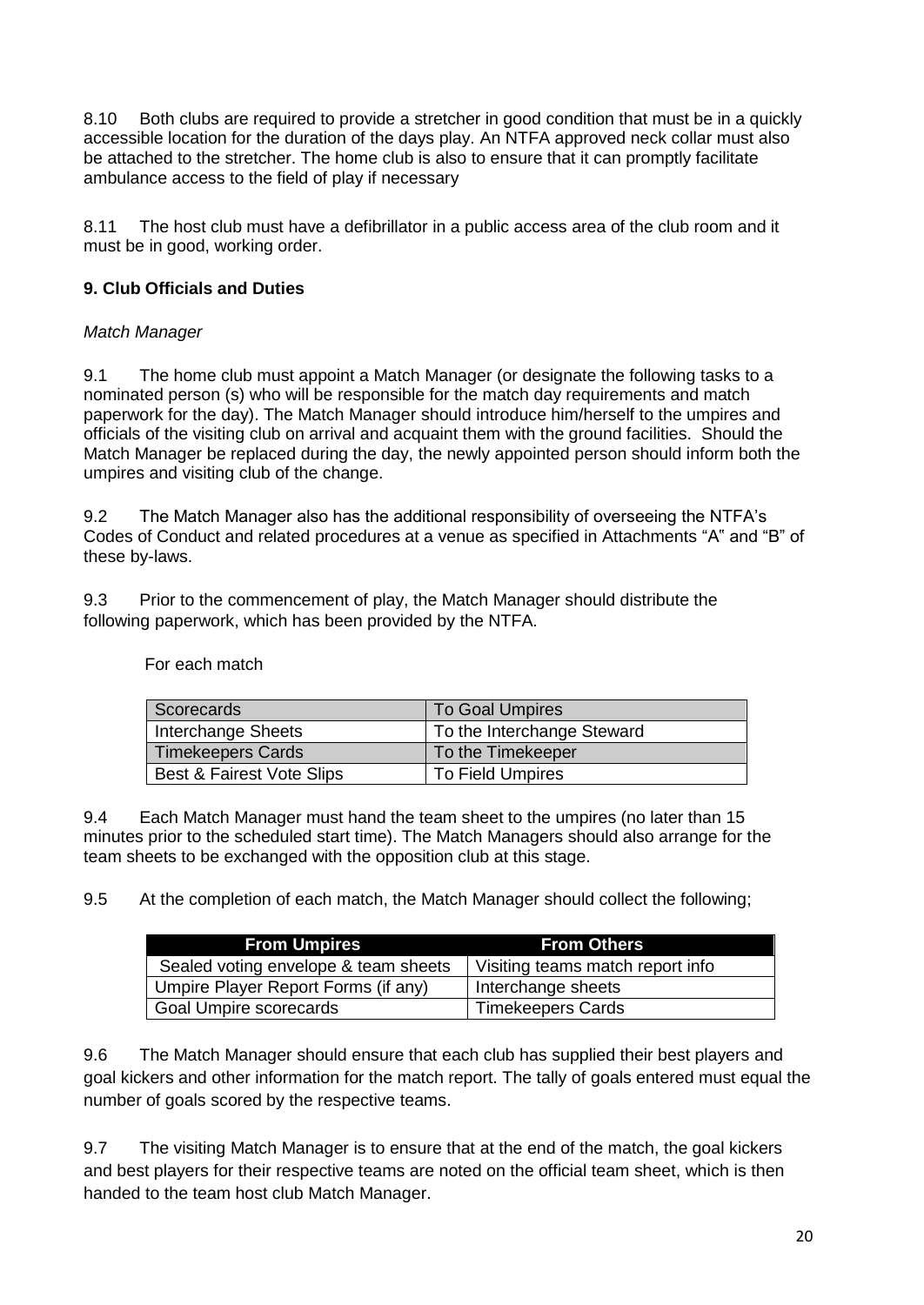8.10 Both clubs are required to provide a stretcher in good condition that must be in a quickly accessible location for the duration of the days play. An NTFA approved neck collar must also be attached to the stretcher. The home club is also to ensure that it can promptly facilitate ambulance access to the field of play if necessary

8.11 The host club must have a defibrillator in a public access area of the club room and it must be in good, working order.

# **9. Club Officials and Duties**

#### *Match Manager*

9.1 The home club must appoint a Match Manager (or designate the following tasks to a nominated person (s) who will be responsible for the match day requirements and match paperwork for the day). The Match Manager should introduce him/herself to the umpires and officials of the visiting club on arrival and acquaint them with the ground facilities. Should the Match Manager be replaced during the day, the newly appointed person should inform both the umpires and visiting club of the change.

9.2 The Match Manager also has the additional responsibility of overseeing the NTFA's Codes of Conduct and related procedures at a venue as specified in Attachments "A" and "B" of these by-laws.

9.3 Prior to the commencement of play, the Match Manager should distribute the following paperwork, which has been provided by the NTFA.

| Scorecards                | <b>To Goal Umpires</b>     |
|---------------------------|----------------------------|
| Interchange Sheets        | To the Interchange Steward |
| <b>Timekeepers Cards</b>  | To the Timekeeper          |
| Best & Fairest Vote Slips | To Field Umpires           |

For each match

9.4 Each Match Manager must hand the team sheet to the umpires (no later than 15 minutes prior to the scheduled start time). The Match Managers should also arrange for the team sheets to be exchanged with the opposition club at this stage.

9.5 At the completion of each match, the Match Manager should collect the following;

| <b>From Umpires</b>                  | <b>From Others</b>               |
|--------------------------------------|----------------------------------|
| Sealed voting envelope & team sheets | Visiting teams match report info |
| Umpire Player Report Forms (if any)  | Interchange sheets               |
| Goal Umpire scorecards               | <b>Timekeepers Cards</b>         |

9.6 The Match Manager should ensure that each club has supplied their best players and goal kickers and other information for the match report. The tally of goals entered must equal the number of goals scored by the respective teams.

9.7 The visiting Match Manager is to ensure that at the end of the match, the goal kickers and best players for their respective teams are noted on the official team sheet, which is then handed to the team host club Match Manager.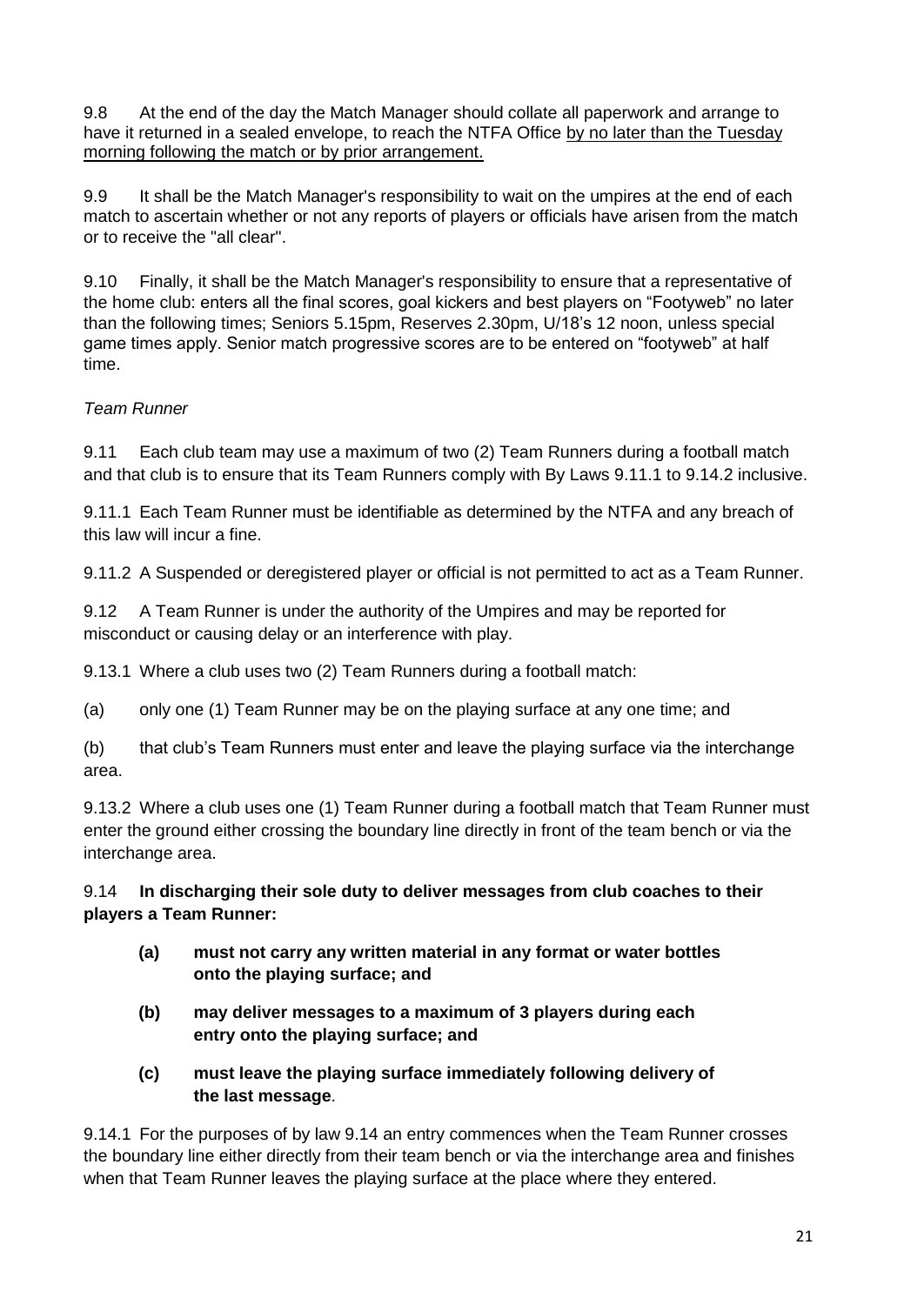9.8 At the end of the day the Match Manager should collate all paperwork and arrange to have it returned in a sealed envelope, to reach the NTFA Office by no later than the Tuesday morning following the match or by prior arrangement.

9.9 It shall be the Match Manager's responsibility to wait on the umpires at the end of each match to ascertain whether or not any reports of players or officials have arisen from the match or to receive the "all clear".

9.10 Finally, it shall be the Match Manager's responsibility to ensure that a representative of the home club: enters all the final scores, goal kickers and best players on "Footyweb" no later than the following times; Seniors 5.15pm, Reserves 2.30pm, U/18's 12 noon, unless special game times apply. Senior match progressive scores are to be entered on "footyweb" at half time.

# *Team Runner*

9.11 Each club team may use a maximum of two (2) Team Runners during a football match and that club is to ensure that its Team Runners comply with By Laws 9.11.1 to 9.14.2 inclusive.

9.11.1 Each Team Runner must be identifiable as determined by the NTFA and any breach of this law will incur a fine.

9.11.2 A Suspended or deregistered player or official is not permitted to act as a Team Runner.

9.12 A Team Runner is under the authority of the Umpires and may be reported for misconduct or causing delay or an interference with play.

9.13.1 Where a club uses two (2) Team Runners during a football match:

(a) only one (1) Team Runner may be on the playing surface at any one time; and

(b) that club's Team Runners must enter and leave the playing surface via the interchange area.

9.13.2 Where a club uses one (1) Team Runner during a football match that Team Runner must enter the ground either crossing the boundary line directly in front of the team bench or via the interchange area.

9.14 **In discharging their sole duty to deliver messages from club coaches to their players a Team Runner:**

- **(a) must not carry any written material in any format or water bottles onto the playing surface; and**
- **(b) may deliver messages to a maximum of 3 players during each entry onto the playing surface; and**
- **(c) must leave the playing surface immediately following delivery of the last message**.

9.14.1 For the purposes of by law 9.14 an entry commences when the Team Runner crosses the boundary line either directly from their team bench or via the interchange area and finishes when that Team Runner leaves the playing surface at the place where they entered.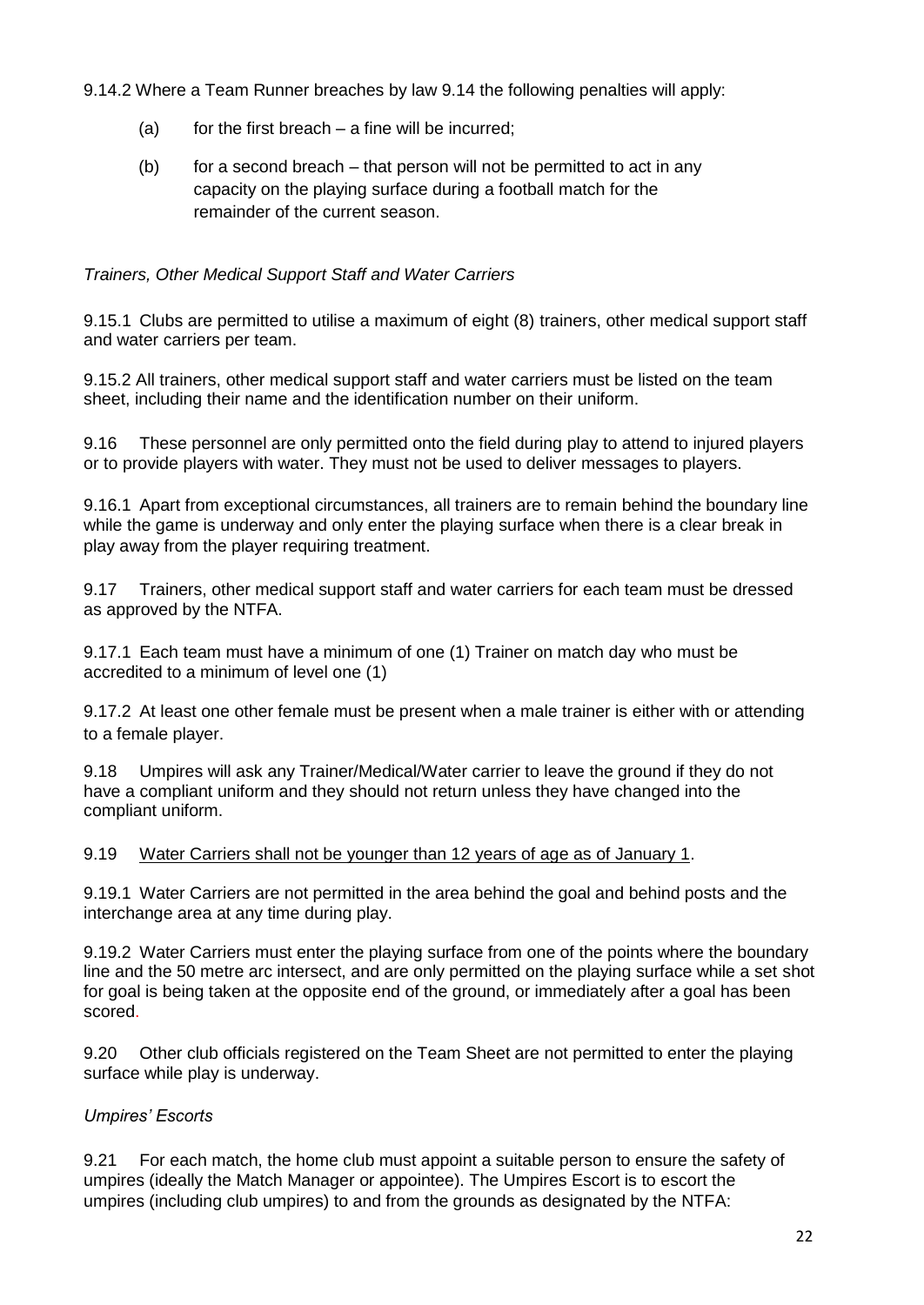9.14.2 Where a Team Runner breaches by law 9.14 the following penalties will apply:

- (a) for the first breach  $-$  a fine will be incurred;
- $(b)$  for a second breach that person will not be permitted to act in any capacity on the playing surface during a football match for the remainder of the current season.

# *Trainers, Other Medical Support Staff and Water Carriers*

9.15.1 Clubs are permitted to utilise a maximum of eight (8) trainers, other medical support staff and water carriers per team.

9.15.2 All trainers, other medical support staff and water carriers must be listed on the team sheet, including their name and the identification number on their uniform.

9.16 These personnel are only permitted onto the field during play to attend to injured players or to provide players with water. They must not be used to deliver messages to players.

9.16.1 Apart from exceptional circumstances, all trainers are to remain behind the boundary line while the game is underway and only enter the playing surface when there is a clear break in play away from the player requiring treatment.

9.17 Trainers, other medical support staff and water carriers for each team must be dressed as approved by the NTFA.

9.17.1 Each team must have a minimum of one (1) Trainer on match day who must be accredited to a minimum of level one (1)

9.17.2 At least one other female must be present when a male trainer is either with or attending to a female player.

9.18 Umpires will ask any Trainer/Medical/Water carrier to leave the ground if they do not have a compliant uniform and they should not return unless they have changed into the compliant uniform.

9.19 Water Carriers shall not be younger than 12 years of age as of January 1.

9.19.1 Water Carriers are not permitted in the area behind the goal and behind posts and the interchange area at any time during play.

9.19.2 Water Carriers must enter the playing surface from one of the points where the boundary line and the 50 metre arc intersect, and are only permitted on the playing surface while a set shot for goal is being taken at the opposite end of the ground, or immediately after a goal has been scored.

9.20 Other club officials registered on the Team Sheet are not permitted to enter the playing surface while play is underway.

# *Umpires' Escorts*

9.21 For each match, the home club must appoint a suitable person to ensure the safety of umpires (ideally the Match Manager or appointee). The Umpires Escort is to escort the umpires (including club umpires) to and from the grounds as designated by the NTFA: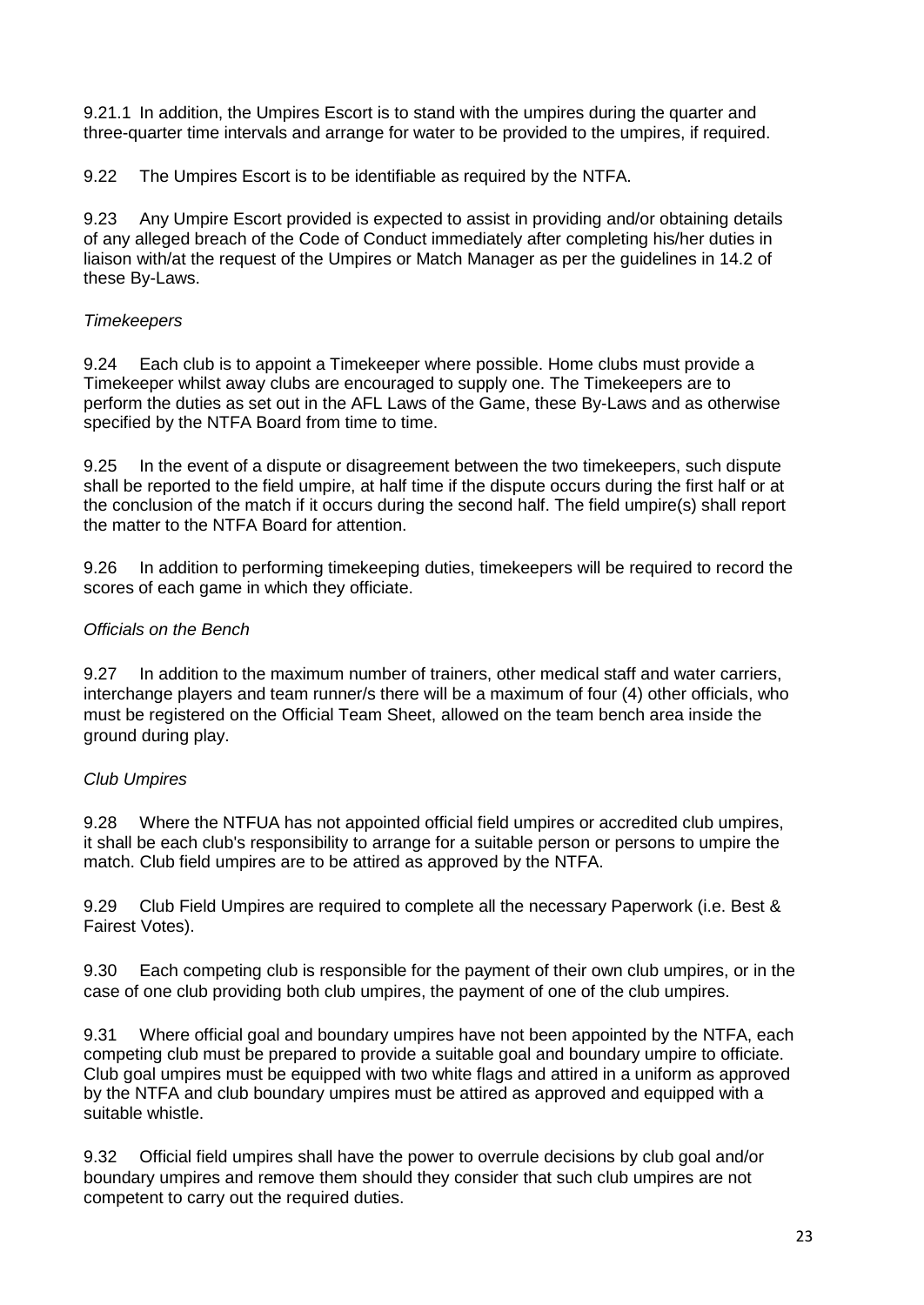9.21.1 In addition, the Umpires Escort is to stand with the umpires during the quarter and three-quarter time intervals and arrange for water to be provided to the umpires, if required.

9.22 The Umpires Escort is to be identifiable as required by the NTFA.

9.23 Any Umpire Escort provided is expected to assist in providing and/or obtaining details of any alleged breach of the Code of Conduct immediately after completing his/her duties in liaison with/at the request of the Umpires or Match Manager as per the guidelines in 14.2 of these By-Laws.

# *Timekeepers*

9.24 Each club is to appoint a Timekeeper where possible. Home clubs must provide a Timekeeper whilst away clubs are encouraged to supply one. The Timekeepers are to perform the duties as set out in the AFL Laws of the Game, these By-Laws and as otherwise specified by the NTFA Board from time to time.

9.25 In the event of a dispute or disagreement between the two timekeepers, such dispute shall be reported to the field umpire, at half time if the dispute occurs during the first half or at the conclusion of the match if it occurs during the second half. The field umpire(s) shall report the matter to the NTFA Board for attention.

9.26 In addition to performing timekeeping duties, timekeepers will be required to record the scores of each game in which they officiate.

#### *Officials on the Bench*

9.27 In addition to the maximum number of trainers, other medical staff and water carriers, interchange players and team runner/s there will be a maximum of four (4) other officials, who must be registered on the Official Team Sheet, allowed on the team bench area inside the ground during play.

# *Club Umpires*

9.28 Where the NTFUA has not appointed official field umpires or accredited club umpires, it shall be each club's responsibility to arrange for a suitable person or persons to umpire the match. Club field umpires are to be attired as approved by the NTFA.

9.29 Club Field Umpires are required to complete all the necessary Paperwork (i.e. Best & Fairest Votes).

9.30 Each competing club is responsible for the payment of their own club umpires, or in the case of one club providing both club umpires, the payment of one of the club umpires.

9.31 Where official goal and boundary umpires have not been appointed by the NTFA, each competing club must be prepared to provide a suitable goal and boundary umpire to officiate. Club goal umpires must be equipped with two white flags and attired in a uniform as approved by the NTFA and club boundary umpires must be attired as approved and equipped with a suitable whistle.

9.32 Official field umpires shall have the power to overrule decisions by club goal and/or boundary umpires and remove them should they consider that such club umpires are not competent to carry out the required duties.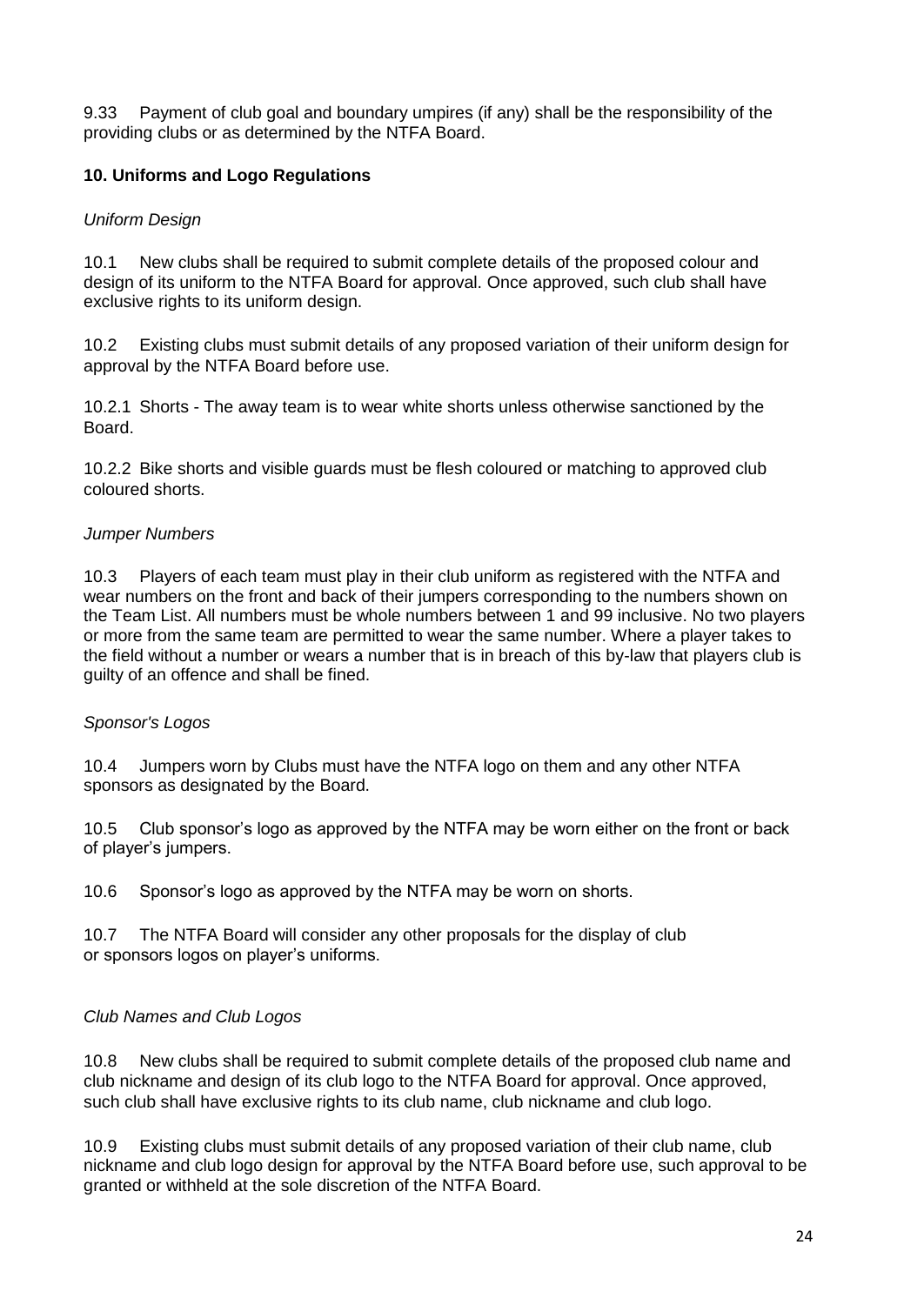9.33 Payment of club goal and boundary umpires (if any) shall be the responsibility of the providing clubs or as determined by the NTFA Board.

# **10. Uniforms and Logo Regulations**

#### *Uniform Design*

10.1 New clubs shall be required to submit complete details of the proposed colour and design of its uniform to the NTFA Board for approval. Once approved, such club shall have exclusive rights to its uniform design.

10.2 Existing clubs must submit details of any proposed variation of their uniform design for approval by the NTFA Board before use.

10.2.1 Shorts - The away team is to wear white shorts unless otherwise sanctioned by the Board.

10.2.2 Bike shorts and visible guards must be flesh coloured or matching to approved club coloured shorts.

#### *Jumper Numbers*

10.3 Players of each team must play in their club uniform as registered with the NTFA and wear numbers on the front and back of their jumpers corresponding to the numbers shown on the Team List. All numbers must be whole numbers between 1 and 99 inclusive. No two players or more from the same team are permitted to wear the same number. Where a player takes to the field without a number or wears a number that is in breach of this by-law that players club is guilty of an offence and shall be fined.

#### *Sponsor's Logos*

10.4 Jumpers worn by Clubs must have the NTFA logo on them and any other NTFA sponsors as designated by the Board.

10.5 Club sponsor's logo as approved by the NTFA may be worn either on the front or back of player's jumpers.

10.6 Sponsor's logo as approved by the NTFA may be worn on shorts.

10.7 The NTFA Board will consider any other proposals for the display of club or sponsors logos on player's uniforms.

# *Club Names and Club Logos*

10.8 New clubs shall be required to submit complete details of the proposed club name and club nickname and design of its club logo to the NTFA Board for approval. Once approved, such club shall have exclusive rights to its club name, club nickname and club logo.

10.9 Existing clubs must submit details of any proposed variation of their club name, club nickname and club logo design for approval by the NTFA Board before use, such approval to be granted or withheld at the sole discretion of the NTFA Board.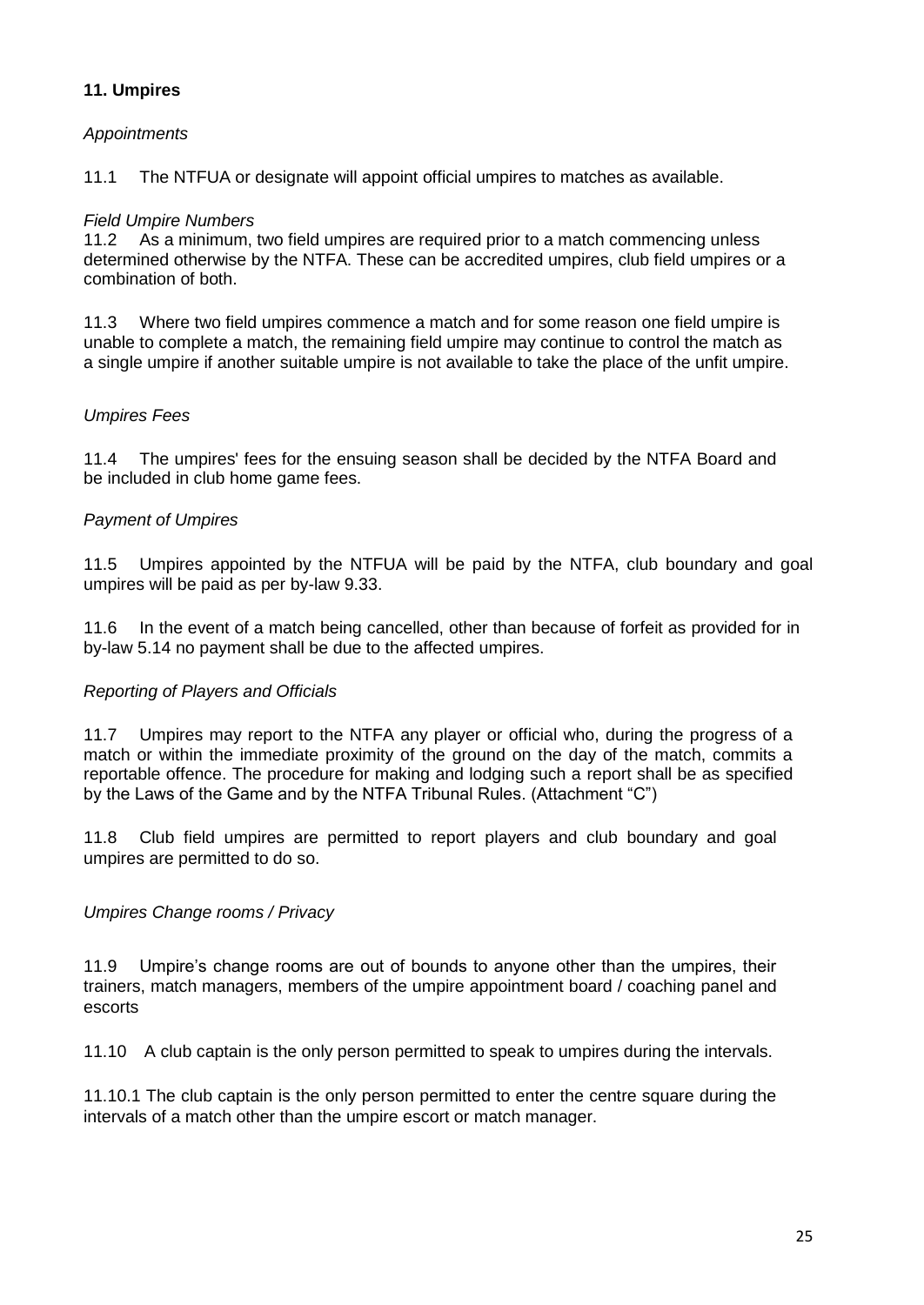# **11. Umpires**

#### *Appointments*

11.1 The NTFUA or designate will appoint official umpires to matches as available.

#### *Field Umpire Numbers*

11.2 As a minimum, two field umpires are required prior to a match commencing unless determined otherwise by the NTFA. These can be accredited umpires, club field umpires or a combination of both.

11.3 Where two field umpires commence a match and for some reason one field umpire is unable to complete a match, the remaining field umpire may continue to control the match as a single umpire if another suitable umpire is not available to take the place of the unfit umpire.

#### *Umpires Fees*

11.4 The umpires' fees for the ensuing season shall be decided by the NTFA Board and be included in club home game fees.

#### *Payment of Umpires*

11.5 Umpires appointed by the NTFUA will be paid by the NTFA, club boundary and goal umpires will be paid as per by-law 9.33.

11.6 In the event of a match being cancelled, other than because of forfeit as provided for in by-law 5.14 no payment shall be due to the affected umpires.

#### *Reporting of Players and Officials*

11.7 Umpires may report to the NTFA any player or official who, during the progress of a match or within the immediate proximity of the ground on the day of the match, commits a reportable offence. The procedure for making and lodging such a report shall be as specified by the Laws of the Game and by the NTFA Tribunal Rules. (Attachment "C")

11.8 Club field umpires are permitted to report players and club boundary and goal umpires are permitted to do so.

# *Umpires Change rooms / Privacy*

11.9 Umpire's change rooms are out of bounds to anyone other than the umpires, their trainers, match managers, members of the umpire appointment board / coaching panel and escorts

11.10 A club captain is the only person permitted to speak to umpires during the intervals.

11.10.1 The club captain is the only person permitted to enter the centre square during the intervals of a match other than the umpire escort or match manager.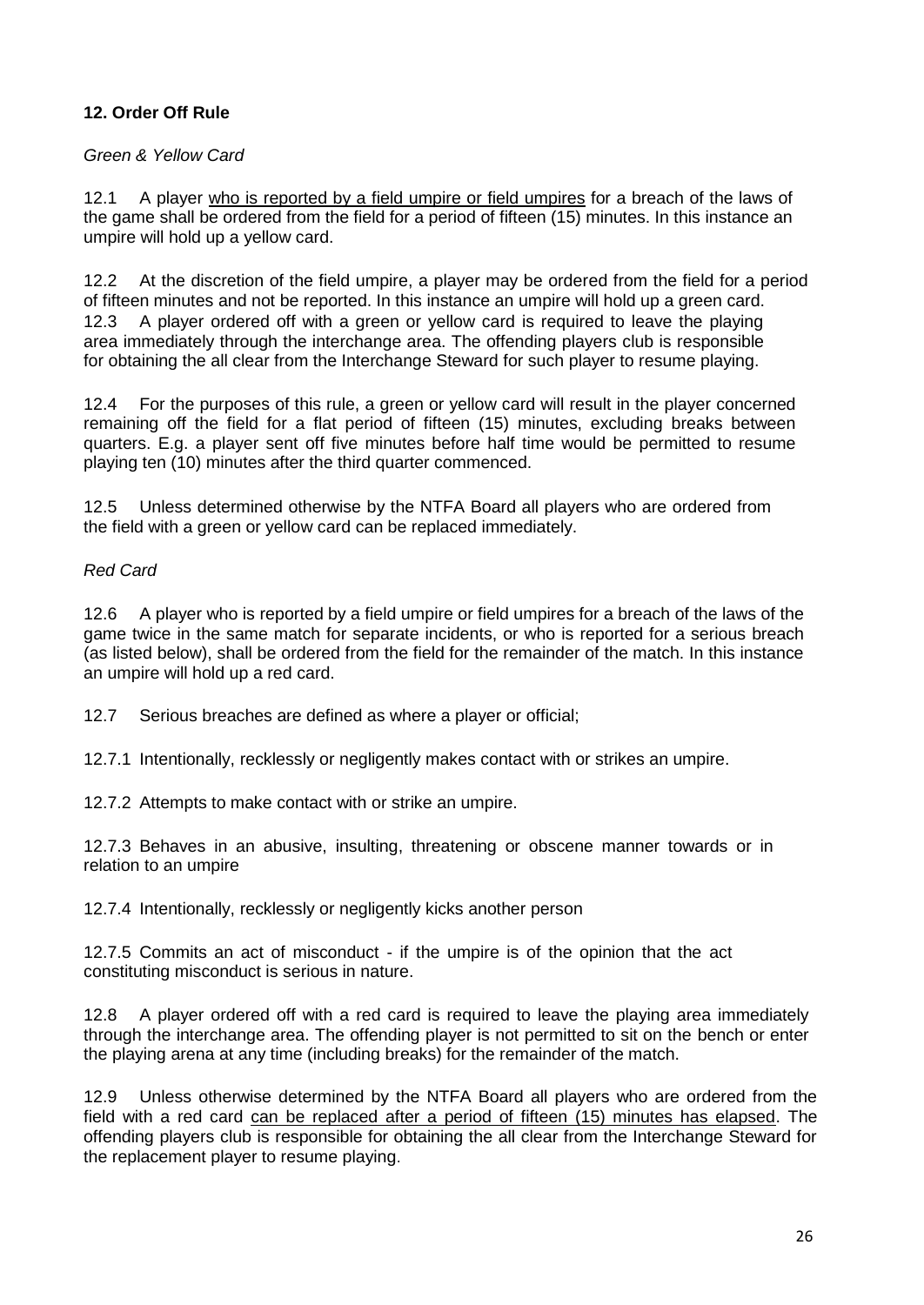# **12. Order Off Rule**

#### *Green & Yellow Card*

12.1 A player who is reported by a field umpire or field umpires for a breach of the laws of the game shall be ordered from the field for a period of fifteen (15) minutes. In this instance an umpire will hold up a yellow card.

12.2 At the discretion of the field umpire, a player may be ordered from the field for a period of fifteen minutes and not be reported. In this instance an umpire will hold up a green card. 12.3 A player ordered off with a green or yellow card is required to leave the playing area immediately through the interchange area. The offending players club is responsible for obtaining the all clear from the Interchange Steward for such player to resume playing.

12.4 For the purposes of this rule, a green or yellow card will result in the player concerned remaining off the field for a flat period of fifteen (15) minutes, excluding breaks between quarters. E.g. a player sent off five minutes before half time would be permitted to resume playing ten (10) minutes after the third quarter commenced.

12.5 Unless determined otherwise by the NTFA Board all players who are ordered from the field with a green or yellow card can be replaced immediately.

#### *Red Card*

12.6 A player who is reported by a field umpire or field umpires for a breach of the laws of the game twice in the same match for separate incidents, or who is reported for a serious breach (as listed below), shall be ordered from the field for the remainder of the match. In this instance an umpire will hold up a red card.

12.7 Serious breaches are defined as where a player or official;

12.7.1 Intentionally, recklessly or negligently makes contact with or strikes an umpire.

12.7.2 Attempts to make contact with or strike an umpire.

12.7.3 Behaves in an abusive, insulting, threatening or obscene manner towards or in relation to an umpire

12.7.4 Intentionally, recklessly or negligently kicks another person

12.7.5 Commits an act of misconduct - if the umpire is of the opinion that the act constituting misconduct is serious in nature.

12.8 A player ordered off with a red card is required to leave the playing area immediately through the interchange area. The offending player is not permitted to sit on the bench or enter the playing arena at any time (including breaks) for the remainder of the match.

12.9 Unless otherwise determined by the NTFA Board all players who are ordered from the field with a red card can be replaced after a period of fifteen (15) minutes has elapsed. The offending players club is responsible for obtaining the all clear from the Interchange Steward for the replacement player to resume playing.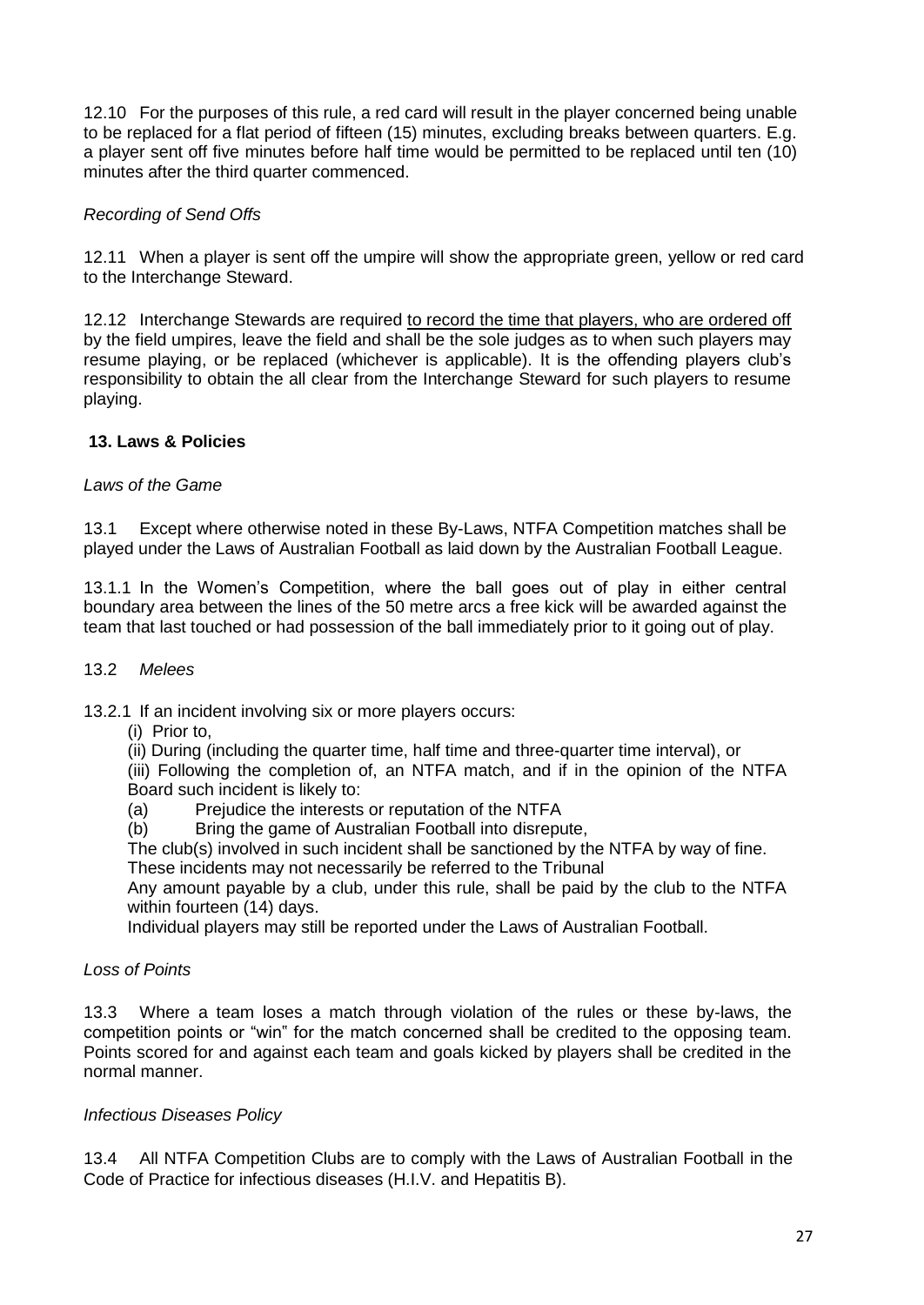12.10 For the purposes of this rule, a red card will result in the player concerned being unable to be replaced for a flat period of fifteen (15) minutes, excluding breaks between quarters. E.g. a player sent off five minutes before half time would be permitted to be replaced until ten (10) minutes after the third quarter commenced.

# *Recording of Send Offs*

12.11 When a player is sent off the umpire will show the appropriate green, yellow or red card to the Interchange Steward.

12.12 Interchange Stewards are required to record the time that players, who are ordered off by the field umpires, leave the field and shall be the sole judges as to when such players may resume playing, or be replaced (whichever is applicable). It is the offending players club's responsibility to obtain the all clear from the Interchange Steward for such players to resume playing.

#### **13. Laws & Policies**

#### *Laws of the Game*

13.1 Except where otherwise noted in these By-Laws, NTFA Competition matches shall be played under the Laws of Australian Football as laid down by the Australian Football League.

13.1.1 In the Women's Competition, where the ball goes out of play in either central boundary area between the lines of the 50 metre arcs a free kick will be awarded against the team that last touched or had possession of the ball immediately prior to it going out of play.

#### 13.2 *Melees*

13.2.1 If an incident involving six or more players occurs:

(i) Prior to,

(ii) During (including the quarter time, half time and three-quarter time interval), or (iii) Following the completion of, an NTFA match, and if in the opinion of the NTFA Board such incident is likely to:

- (a) Prejudice the interests or reputation of the NTFA
- (b) Bring the game of Australian Football into disrepute,

The club(s) involved in such incident shall be sanctioned by the NTFA by way of fine.

These incidents may not necessarily be referred to the Tribunal

Any amount payable by a club, under this rule, shall be paid by the club to the NTFA within fourteen (14) days.

Individual players may still be reported under the Laws of Australian Football.

#### *Loss of Points*

13.3 Where a team loses a match through violation of the rules or these by-laws, the competition points or "win" for the match concerned shall be credited to the opposing team. Points scored for and against each team and goals kicked by players shall be credited in the normal manner.

#### *Infectious Diseases Policy*

13.4 All NTFA Competition Clubs are to comply with the Laws of Australian Football in the Code of Practice for infectious diseases (H.I.V. and Hepatitis B).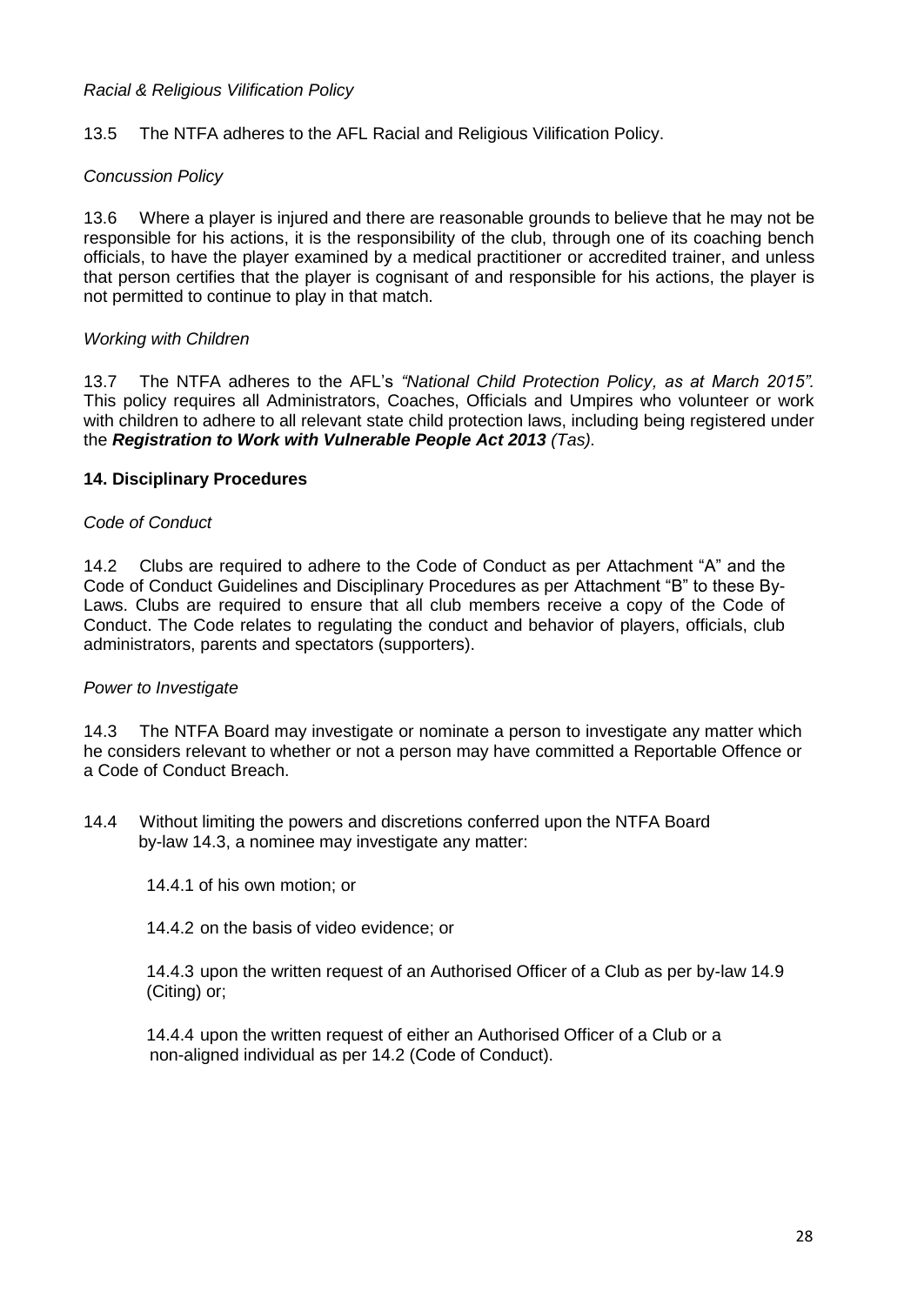#### *Racial & Religious Vilification Policy*

13.5 The NTFA adheres to the AFL Racial and Religious Vilification Policy.

#### *Concussion Policy*

13.6 Where a player is injured and there are reasonable grounds to believe that he may not be responsible for his actions, it is the responsibility of the club, through one of its coaching bench officials, to have the player examined by a medical practitioner or accredited trainer, and unless that person certifies that the player is cognisant of and responsible for his actions, the player is not permitted to continue to play in that match.

#### *Working with Children*

13.7 The NTFA adheres to the AFL's *"National Child Protection Policy, as at March 2015".*  This policy requires all Administrators, Coaches, Officials and Umpires who volunteer or work with children to adhere to all relevant state child protection laws, including being registered under the *Registration to Work with Vulnerable People Act 2013 (Tas).*

#### **14. Disciplinary Procedures**

#### *Code of Conduct*

14.2 Clubs are required to adhere to the Code of Conduct as per Attachment "A" and the Code of Conduct Guidelines and Disciplinary Procedures as per Attachment "B" to these By-Laws. Clubs are required to ensure that all club members receive a copy of the Code of Conduct. The Code relates to regulating the conduct and behavior of players, officials, club administrators, parents and spectators (supporters).

#### *Power to Investigate*

14.3 The NTFA Board may investigate or nominate a person to investigate any matter which he considers relevant to whether or not a person may have committed a Reportable Offence or a Code of Conduct Breach.

14.4 Without limiting the powers and discretions conferred upon the NTFA Board by-law 14.3, a nominee may investigate any matter:

14.4.1 of his own motion; or

14.4.2 on the basis of video evidence; or

14.4.3 upon the written request of an Authorised Officer of a Club as per by-law 14.9 (Citing) or;

14.4.4 upon the written request of either an Authorised Officer of a Club or a non-aligned individual as per 14.2 (Code of Conduct).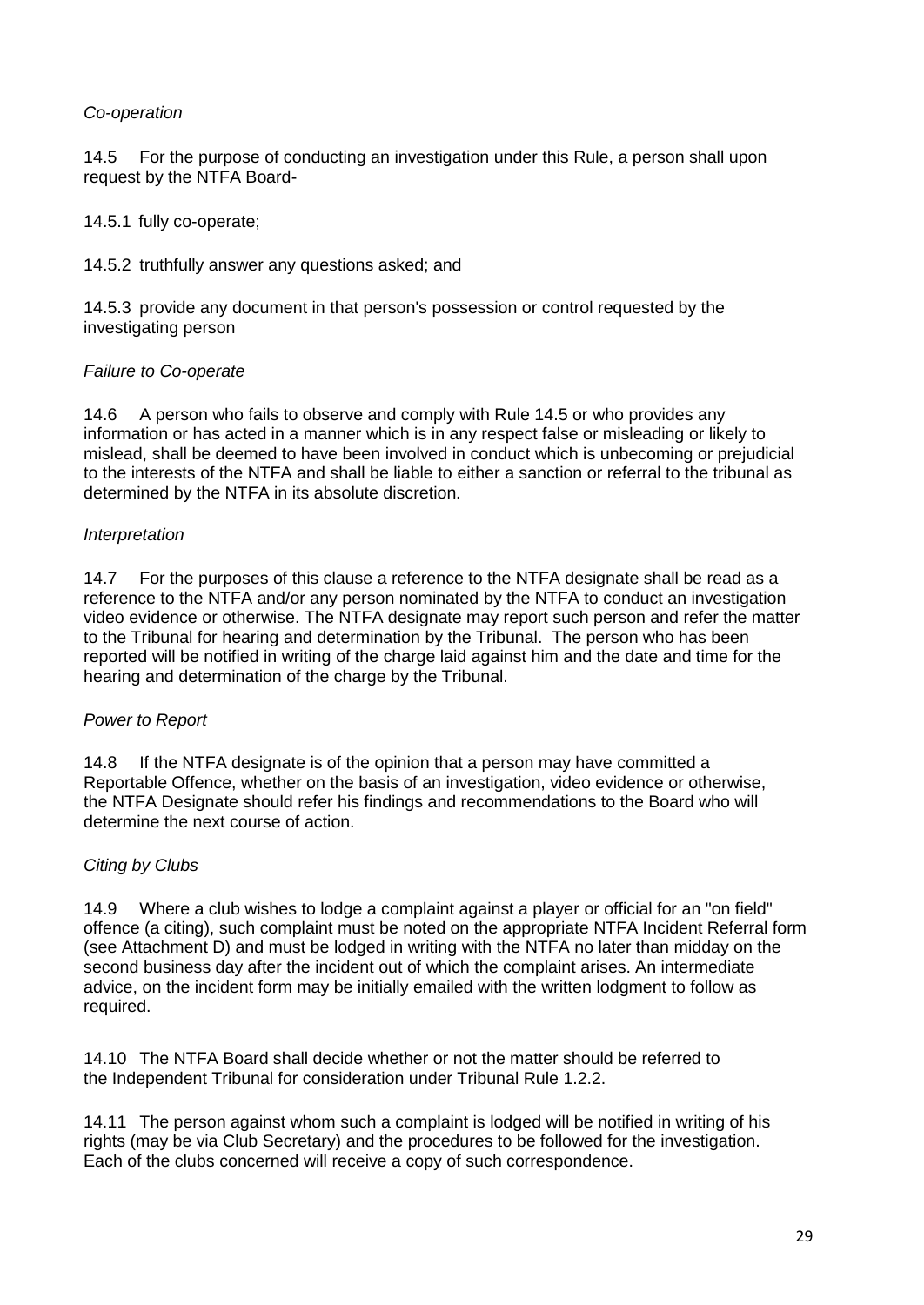# *Co-operation*

14.5 For the purpose of conducting an investigation under this Rule, a person shall upon request by the NTFA Board-

14.5.1 fully co-operate;

14.5.2 truthfully answer any questions asked; and

14.5.3 provide any document in that person's possession or control requested by the investigating person

# *Failure to Co-operate*

14.6 A person who fails to observe and comply with Rule 14.5 or who provides any information or has acted in a manner which is in any respect false or misleading or likely to mislead, shall be deemed to have been involved in conduct which is unbecoming or prejudicial to the interests of the NTFA and shall be liable to either a sanction or referral to the tribunal as determined by the NTFA in its absolute discretion.

#### *Interpretation*

14.7 For the purposes of this clause a reference to the NTFA designate shall be read as a reference to the NTFA and/or any person nominated by the NTFA to conduct an investigation video evidence or otherwise. The NTFA designate may report such person and refer the matter to the Tribunal for hearing and determination by the Tribunal. The person who has been reported will be notified in writing of the charge laid against him and the date and time for the hearing and determination of the charge by the Tribunal.

#### *Power to Report*

14.8 If the NTFA designate is of the opinion that a person may have committed a Reportable Offence, whether on the basis of an investigation, video evidence or otherwise, the NTFA Designate should refer his findings and recommendations to the Board who will determine the next course of action.

# *Citing by Clubs*

14.9 Where a club wishes to lodge a complaint against a player or official for an "on field" offence (a citing), such complaint must be noted on the appropriate NTFA Incident Referral form (see Attachment D) and must be lodged in writing with the NTFA no later than midday on the second business day after the incident out of which the complaint arises. An intermediate advice, on the incident form may be initially emailed with the written lodgment to follow as required.

14.10 The NTFA Board shall decide whether or not the matter should be referred to the Independent Tribunal for consideration under Tribunal Rule 1.2.2.

14.11 The person against whom such a complaint is lodged will be notified in writing of his rights (may be via Club Secretary) and the procedures to be followed for the investigation. Each of the clubs concerned will receive a copy of such correspondence.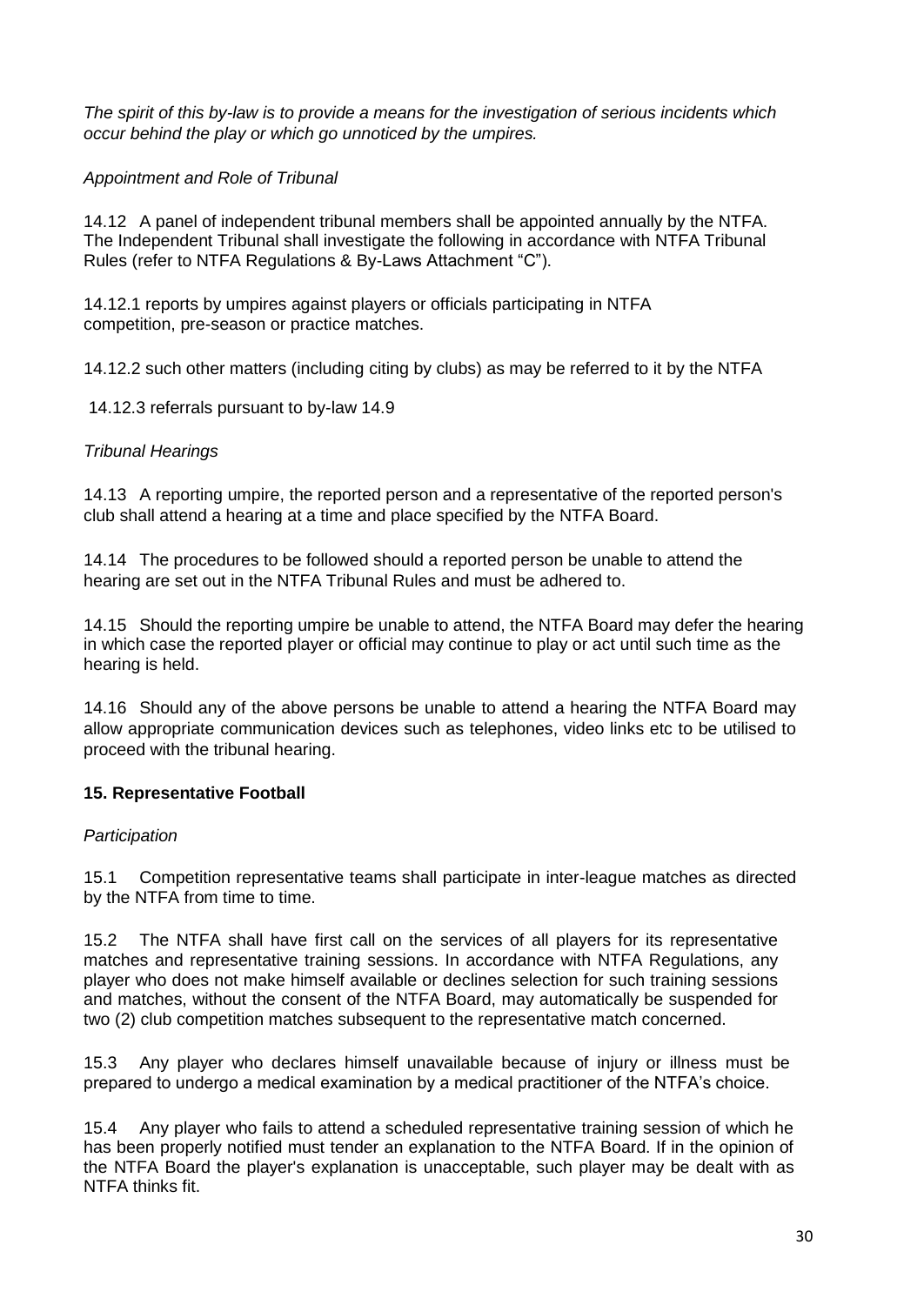*The spirit of this by-law is to provide a means for the investigation of serious incidents which occur behind the play or which go unnoticed by the umpires.*

# *Appointment and Role of Tribunal*

14.12 A panel of independent tribunal members shall be appointed annually by the NTFA. The Independent Tribunal shall investigate the following in accordance with NTFA Tribunal Rules (refer to NTFA Regulations & By-Laws Attachment "C").

14.12.1 reports by umpires against players or officials participating in NTFA competition, pre-season or practice matches.

14.12.2 such other matters (including citing by clubs) as may be referred to it by the NTFA

14.12.3 referrals pursuant to by-law 14.9

# *Tribunal Hearings*

14.13 A reporting umpire, the reported person and a representative of the reported person's club shall attend a hearing at a time and place specified by the NTFA Board.

14.14 The procedures to be followed should a reported person be unable to attend the hearing are set out in the NTFA Tribunal Rules and must be adhered to.

14.15 Should the reporting umpire be unable to attend, the NTFA Board may defer the hearing in which case the reported player or official may continue to play or act until such time as the hearing is held.

14.16 Should any of the above persons be unable to attend a hearing the NTFA Board may allow appropriate communication devices such as telephones, video links etc to be utilised to proceed with the tribunal hearing.

# **15. Representative Football**

#### *Participation*

15.1 Competition representative teams shall participate in inter-league matches as directed by the NTFA from time to time.

15.2 The NTFA shall have first call on the services of all players for its representative matches and representative training sessions. In accordance with NTFA Regulations, any player who does not make himself available or declines selection for such training sessions and matches, without the consent of the NTFA Board, may automatically be suspended for two (2) club competition matches subsequent to the representative match concerned.

15.3 Any player who declares himself unavailable because of injury or illness must be prepared to undergo a medical examination by a medical practitioner of the NTFA's choice.

15.4 Any player who fails to attend a scheduled representative training session of which he has been properly notified must tender an explanation to the NTFA Board. If in the opinion of the NTFA Board the player's explanation is unacceptable, such player may be dealt with as NTFA thinks fit.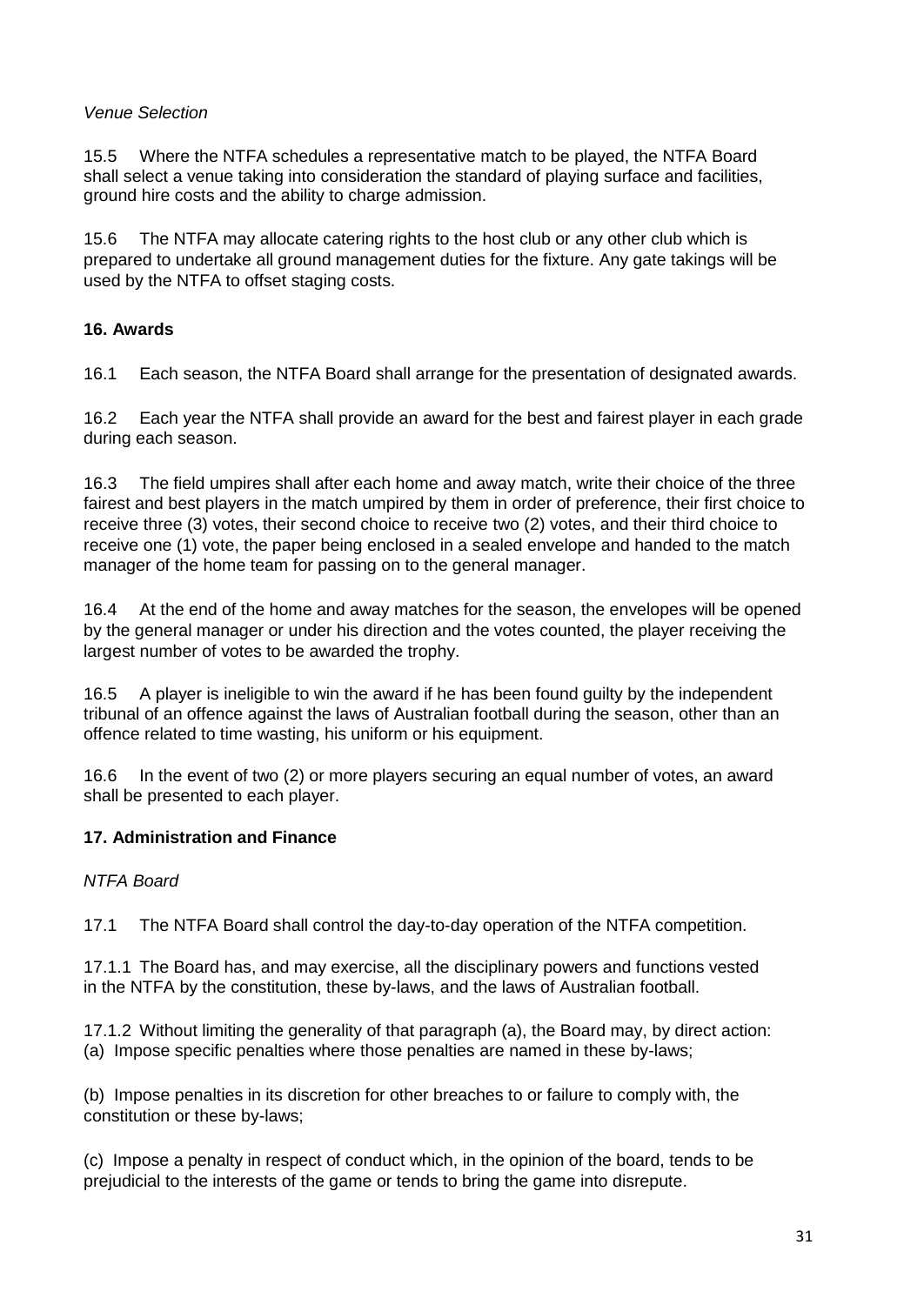# *Venue Selection*

15.5 Where the NTFA schedules a representative match to be played, the NTFA Board shall select a venue taking into consideration the standard of playing surface and facilities, ground hire costs and the ability to charge admission.

15.6 The NTFA may allocate catering rights to the host club or any other club which is prepared to undertake all ground management duties for the fixture. Any gate takings will be used by the NTFA to offset staging costs.

# **16. Awards**

16.1 Each season, the NTFA Board shall arrange for the presentation of designated awards.

16.2 Each year the NTFA shall provide an award for the best and fairest player in each grade during each season.

16.3 The field umpires shall after each home and away match, write their choice of the three fairest and best players in the match umpired by them in order of preference, their first choice to receive three (3) votes, their second choice to receive two (2) votes, and their third choice to receive one (1) vote, the paper being enclosed in a sealed envelope and handed to the match manager of the home team for passing on to the general manager.

16.4 At the end of the home and away matches for the season, the envelopes will be opened by the general manager or under his direction and the votes counted, the player receiving the largest number of votes to be awarded the trophy.

16.5 A player is ineligible to win the award if he has been found guilty by the independent tribunal of an offence against the laws of Australian football during the season, other than an offence related to time wasting, his uniform or his equipment.

16.6 In the event of two (2) or more players securing an equal number of votes, an award shall be presented to each player.

# **17. Administration and Finance**

# *NTFA Board*

17.1 The NTFA Board shall control the day-to-day operation of the NTFA competition.

17.1.1 The Board has, and may exercise, all the disciplinary powers and functions vested in the NTFA by the constitution, these by-laws, and the laws of Australian football.

17.1.2 Without limiting the generality of that paragraph (a), the Board may, by direct action: (a) Impose specific penalties where those penalties are named in these by-laws;

(b) Impose penalties in its discretion for other breaches to or failure to comply with, the constitution or these by-laws;

(c) Impose a penalty in respect of conduct which, in the opinion of the board, tends to be prejudicial to the interests of the game or tends to bring the game into disrepute.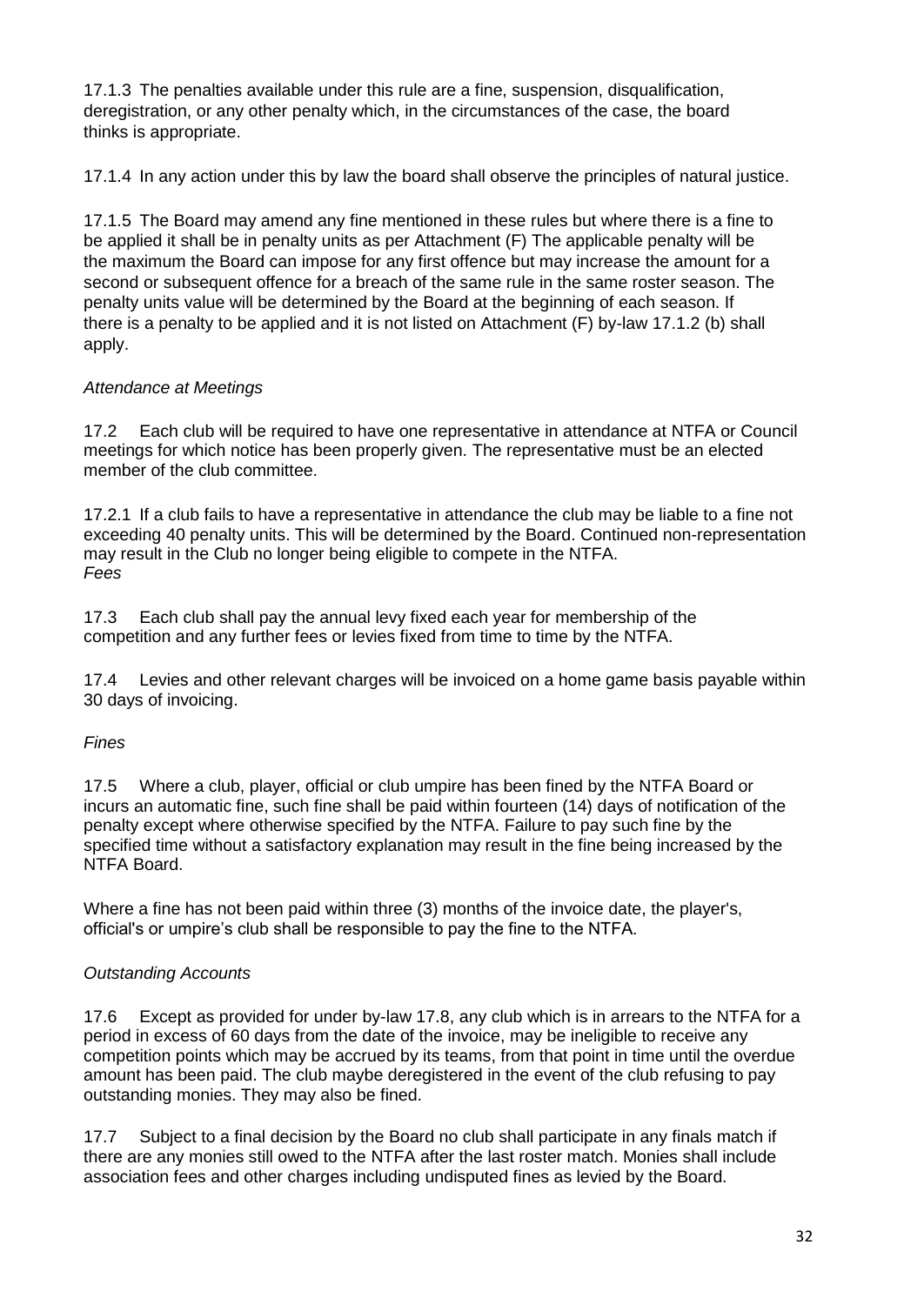17.1.3 The penalties available under this rule are a fine, suspension, disqualification, deregistration, or any other penalty which, in the circumstances of the case, the board thinks is appropriate.

17.1.4 In any action under this by law the board shall observe the principles of natural justice.

17.1.5 The Board may amend any fine mentioned in these rules but where there is a fine to be applied it shall be in penalty units as per Attachment (F) The applicable penalty will be the maximum the Board can impose for any first offence but may increase the amount for a second or subsequent offence for a breach of the same rule in the same roster season. The penalty units value will be determined by the Board at the beginning of each season. If there is a penalty to be applied and it is not listed on Attachment (F) by-law 17.1.2 (b) shall apply.

#### *Attendance at Meetings*

17.2 Each club will be required to have one representative in attendance at NTFA or Council meetings for which notice has been properly given. The representative must be an elected member of the club committee.

17.2.1 If a club fails to have a representative in attendance the club may be liable to a fine not exceeding 40 penalty units. This will be determined by the Board. Continued non-representation may result in the Club no longer being eligible to compete in the NTFA. *Fees*

17.3 Each club shall pay the annual levy fixed each year for membership of the competition and any further fees or levies fixed from time to time by the NTFA.

17.4 Levies and other relevant charges will be invoiced on a home game basis payable within 30 days of invoicing.

# *Fines*

17.5 Where a club, player, official or club umpire has been fined by the NTFA Board or incurs an automatic fine, such fine shall be paid within fourteen (14) days of notification of the penalty except where otherwise specified by the NTFA. Failure to pay such fine by the specified time without a satisfactory explanation may result in the fine being increased by the NTFA Board.

Where a fine has not been paid within three (3) months of the invoice date, the player's, official's or umpire's club shall be responsible to pay the fine to the NTFA.

#### *Outstanding Accounts*

17.6 Except as provided for under by-law 17.8, any club which is in arrears to the NTFA for a period in excess of 60 days from the date of the invoice, may be ineligible to receive any competition points which may be accrued by its teams, from that point in time until the overdue amount has been paid. The club maybe deregistered in the event of the club refusing to pay outstanding monies. They may also be fined.

17.7 Subject to a final decision by the Board no club shall participate in any finals match if there are any monies still owed to the NTFA after the last roster match. Monies shall include association fees and other charges including undisputed fines as levied by the Board.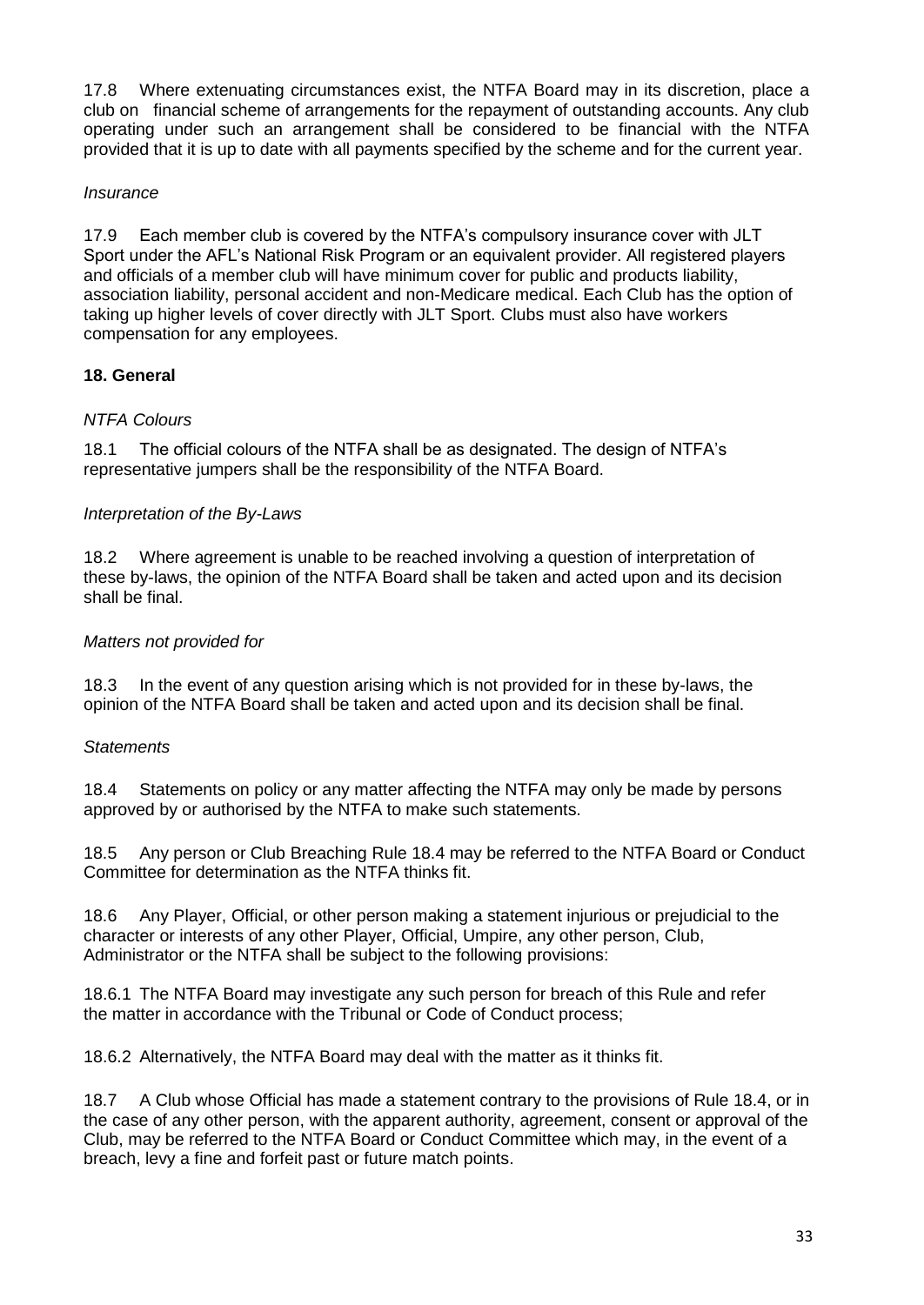17.8 Where extenuating circumstances exist, the NTFA Board may in its discretion, place a club on financial scheme of arrangements for the repayment of outstanding accounts. Any club operating under such an arrangement shall be considered to be financial with the NTFA provided that it is up to date with all payments specified by the scheme and for the current year.

#### *Insurance*

17.9 Each member club is covered by the NTFA's compulsory insurance cover with JLT Sport under the AFL's National Risk Program or an equivalent provider. All registered players and officials of a member club will have minimum cover for public and products liability, association liability, personal accident and non-Medicare medical. Each Club has the option of taking up higher levels of cover directly with JLT Sport. Clubs must also have workers compensation for any employees.

# **18. General**

#### *NTFA Colours*

18.1 The official colours of the NTFA shall be as designated. The design of NTFA's representative jumpers shall be the responsibility of the NTFA Board.

#### *Interpretation of the By-Laws*

18.2 Where agreement is unable to be reached involving a question of interpretation of these by-laws, the opinion of the NTFA Board shall be taken and acted upon and its decision shall be final.

#### *Matters not provided for*

18.3 In the event of any question arising which is not provided for in these by-laws, the opinion of the NTFA Board shall be taken and acted upon and its decision shall be final.

#### *Statements*

18.4 Statements on policy or any matter affecting the NTFA may only be made by persons approved by or authorised by the NTFA to make such statements.

18.5 Any person or Club Breaching Rule 18.4 may be referred to the NTFA Board or Conduct Committee for determination as the NTFA thinks fit.

18.6 Any Player, Official, or other person making a statement injurious or prejudicial to the character or interests of any other Player, Official, Umpire, any other person, Club, Administrator or the NTFA shall be subject to the following provisions:

18.6.1 The NTFA Board may investigate any such person for breach of this Rule and refer the matter in accordance with the Tribunal or Code of Conduct process;

18.6.2 Alternatively, the NTFA Board may deal with the matter as it thinks fit.

18.7 A Club whose Official has made a statement contrary to the provisions of Rule 18.4, or in the case of any other person, with the apparent authority, agreement, consent or approval of the Club, may be referred to the NTFA Board or Conduct Committee which may, in the event of a breach, levy a fine and forfeit past or future match points.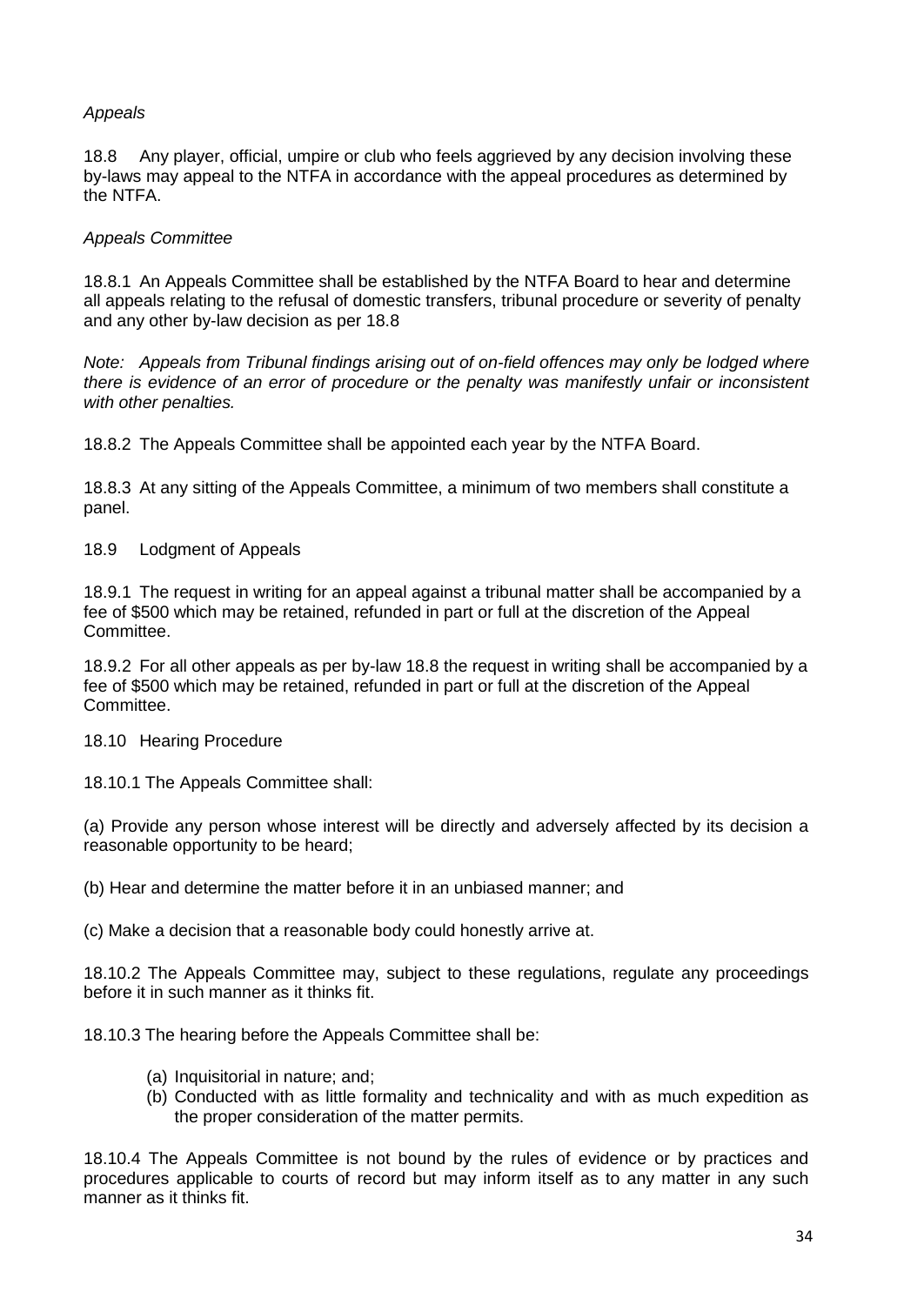#### *Appeals*

18.8 Any player, official, umpire or club who feels aggrieved by any decision involving these by-laws may appeal to the NTFA in accordance with the appeal procedures as determined by the NTFA.

#### *Appeals Committee*

18.8.1 An Appeals Committee shall be established by the NTFA Board to hear and determine all appeals relating to the refusal of domestic transfers, tribunal procedure or severity of penalty and any other by-law decision as per 18.8

*Note: Appeals from Tribunal findings arising out of on-field offences may only be lodged where there is evidence of an error of procedure or the penalty was manifestly unfair or inconsistent with other penalties.*

18.8.2 The Appeals Committee shall be appointed each year by the NTFA Board.

18.8.3 At any sitting of the Appeals Committee, a minimum of two members shall constitute a panel.

18.9 Lodgment of Appeals

18.9.1 The request in writing for an appeal against a tribunal matter shall be accompanied by a fee of \$500 which may be retained, refunded in part or full at the discretion of the Appeal Committee.

18.9.2 For all other appeals as per by-law 18.8 the request in writing shall be accompanied by a fee of \$500 which may be retained, refunded in part or full at the discretion of the Appeal Committee.

18.10 Hearing Procedure

18.10.1 The Appeals Committee shall:

(a) Provide any person whose interest will be directly and adversely affected by its decision a reasonable opportunity to be heard;

(b) Hear and determine the matter before it in an unbiased manner; and

(c) Make a decision that a reasonable body could honestly arrive at.

18.10.2 The Appeals Committee may, subject to these regulations, regulate any proceedings before it in such manner as it thinks fit.

18.10.3 The hearing before the Appeals Committee shall be:

- (a) Inquisitorial in nature; and;
- (b) Conducted with as little formality and technicality and with as much expedition as the proper consideration of the matter permits.

18.10.4 The Appeals Committee is not bound by the rules of evidence or by practices and procedures applicable to courts of record but may inform itself as to any matter in any such manner as it thinks fit.